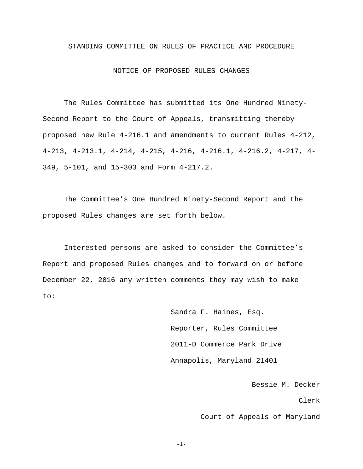## STANDING COMMITTEE ON RULES OF PRACTICE AND PROCEDURE

### NOTICE OF PROPOSED RULES CHANGES

The Rules Committee has submitted its One Hundred Ninety-Second Report to the Court of Appeals, transmitting thereby proposed new Rule 4-216.1 and amendments to current Rules 4-212, 4-213, 4-213.1, 4-214, 4-215, 4-216, 4-216.1, 4-216.2, 4-217, 4- 349, 5-101, and 15-303 and Form 4-217.2.

The Committee's One Hundred Ninety-Second Report and the proposed Rules changes are set forth below.

Interested persons are asked to consider the Committee's Report and proposed Rules changes and to forward on or before December 22, 2016 any written comments they may wish to make to:

> Sandra F. Haines, Esq. Reporter, Rules Committee 2011-D Commerce Park Drive Annapolis, Maryland 21401

> > Bessie M. Decker

Clerk

Court of Appeals of Maryland

-1-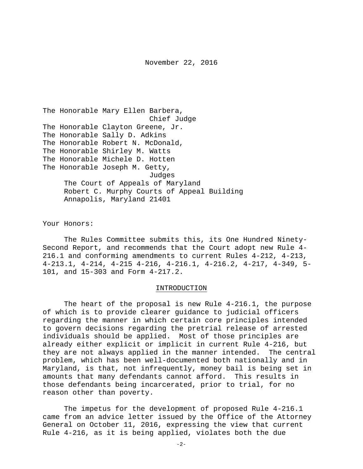The Honorable Mary Ellen Barbera, Chief Judge The Honorable Clayton Greene, Jr. The Honorable Sally D. Adkins The Honorable Robert N. McDonald, The Honorable Shirley M. Watts The Honorable Michele D. Hotten The Honorable Joseph M. Getty, Judges The Court of Appeals of Maryland Robert C. Murphy Courts of Appeal Building Annapolis, Maryland 21401

Your Honors:

The Rules Committee submits this, its One Hundred Ninety-Second Report, and recommends that the Court adopt new Rule 4- 216.1 and conforming amendments to current Rules 4-212, 4-213, 4-213.1, 4-214, 4-215 4-216, 4-216.1, 4-216.2, 4-217, 4-349, 5- 101, and 15-303 and Form 4-217.2.

#### INTRODUCTION

The heart of the proposal is new Rule 4-216.1, the purpose of which is to provide clearer guidance to judicial officers regarding the manner in which certain core principles intended to govern decisions regarding the pretrial release of arrested individuals should be applied. Most of those principles are already either explicit or implicit in current Rule 4-216, but they are not always applied in the manner intended. The central problem, which has been well-documented both nationally and in Maryland, is that, not infrequently, money bail is being set in amounts that many defendants cannot afford. This results in those defendants being incarcerated, prior to trial, for no reason other than poverty.

The impetus for the development of proposed Rule 4-216.1 came from an advice letter issued by the Office of the Attorney General on October 11, 2016, expressing the view that current Rule 4-216, as it is being applied, violates both the due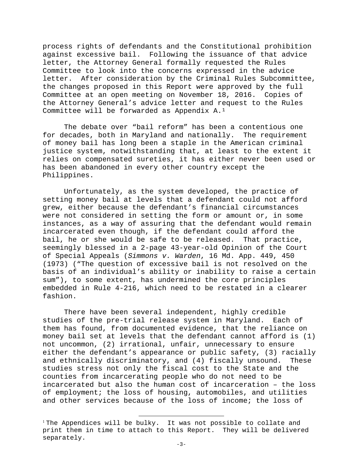process rights of defendants and the Constitutional prohibition against excessive bail. Following the issuance of that advice letter, the Attorney General formally requested the Rules Committee to look into the concerns expressed in the advice letter. After consideration by the Criminal Rules Subcommittee, the changes proposed in this Report were approved by the full Committee at an open meeting on November 18, 2016. Copies of the Attorney General's advice letter and request to the Rules Committee will be forwarded as Appendix A.[1](#page-2-0)

The debate over "bail reform" has been a contentious one for decades, both in Maryland and nationally. The requirement of money bail has long been a staple in the American criminal justice system, notwithstanding that, at least to the extent it relies on compensated sureties, it has either never been used or has been abandoned in every other country except the Philippines.

Unfortunately, as the system developed, the practice of setting money bail at levels that a defendant could not afford grew, either because the defendant's financial circumstances were not considered in setting the form or amount or, in some instances, as a way of assuring that the defendant would remain incarcerated even though, if the defendant could afford the bail, he or she would be safe to be released. That practice, seemingly blessed in a 2-page 43-year-old Opinion of the Court of Special Appeals (*Simmons v. Warden*, 16 Md. App. 449, 450 (1973) ("The question of excessive bail is not resolved on the basis of an individual's ability or inability to raise a certain sum"), to some extent, has undermined the core principles embedded in Rule 4-216, which need to be restated in a clearer fashion.

There have been several independent, highly credible studies of the pre-trial release system in Maryland. Each of them has found, from documented evidence, that the reliance on money bail set at levels that the defendant cannot afford is (1) not uncommon, (2) irrational, unfair, unnecessary to ensure either the defendant's appearance or public safety, (3) racially and ethnically discriminatory, and (4) fiscally unsound. These studies stress not only the fiscal cost to the State and the counties from incarcerating people who do not need to be incarcerated but also the human cost of incarceration – the loss of employment; the loss of housing, automobiles, and utilities and other services because of the loss of income; the loss of

Ξ

<span id="page-2-0"></span><sup>&</sup>lt;sup>1</sup> The Appendices will be bulky. It was not possible to collate and print them in time to attach to this Report. They will be delivered separately.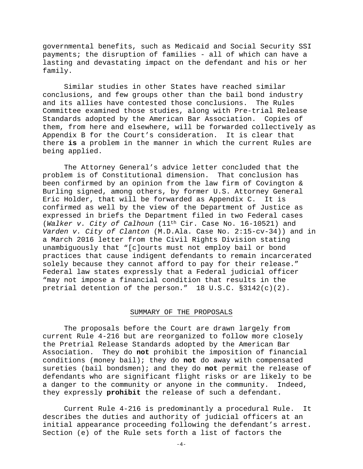governmental benefits, such as Medicaid and Social Security SSI payments; the disruption of families - all of which can have a lasting and devastating impact on the defendant and his or her family.

Similar studies in other States have reached similar conclusions, and few groups other than the bail bond industry and its allies have contested those conclusions. The Rules Committee examined those studies, along with Pre-trial Release Standards adopted by the American Bar Association. Copies of them, from here and elsewhere, will be forwarded collectively as Appendix B for the Court's consideration. It is clear that there **is** a problem in the manner in which the current Rules are being applied.

The Attorney General's advice letter concluded that the problem is of Constitutional dimension. That conclusion has been confirmed by an opinion from the law firm of Covington & Burling signed, among others, by former U.S. Attorney General<br>Eric Holder, that will be forwarded as Appendix C. It is Eric Holder, that will be forwarded as Appendix C. confirmed as well by the view of the Department of Justice as expressed in briefs the Department filed in two Federal cases (*Walker v. City of Calhoun* (11th Cir. Case No. 16-10521) and *Varden v. City of Clanton* (M.D.Ala. Case No. 2:15-cv-34)) and in a March 2016 letter from the Civil Rights Division stating unambiguously that "[c]ourts must not employ bail or bond practices that cause indigent defendants to remain incarcerated solely because they cannot afford to pay for their release." Federal law states expressly that a Federal judicial officer "may not impose a financial condition that results in the pretrial detention of the person."  $18 \text{ U.S.C. } $3142(c)(2)$ .

# SUMMARY OF THE PROPOSALS

The proposals before the Court are drawn largely from current Rule 4-216 but are reorganized to follow more closely the Pretrial Release Standards adopted by the American Bar Association. They do **not** prohibit the imposition of financial conditions (money bail); they do **not** do away with compensated sureties (bail bondsmen); and they do **not** permit the release of defendants who are significant flight risks or are likely to be<br>a danger to the community or anyone in the community. Indeed, a danger to the community or anyone in the community. they expressly **prohibit** the release of such a defendant.

Current Rule 4-216 is predominantly a procedural Rule. It describes the duties and authority of judicial officers at an initial appearance proceeding following the defendant's arrest. Section (e) of the Rule sets forth a list of factors the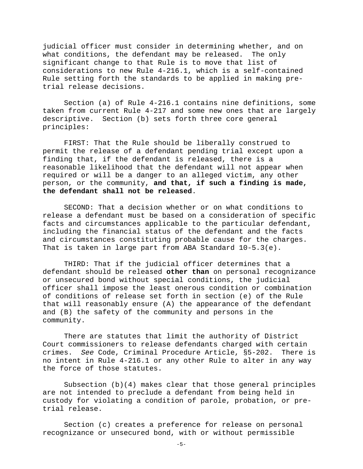judicial officer must consider in determining whether, and on what conditions, the defendant may be released. The only significant change to that Rule is to move that list of considerations to new Rule 4-216.1, which is a self-contained Rule setting forth the standards to be applied in making pretrial release decisions.

Section (a) of Rule 4-216.1 contains nine definitions, some taken from current Rule 4-217 and some new ones that are largely descriptive. Section (b) sets forth three core general principles:

FIRST: That the Rule should be liberally construed to permit the release of a defendant pending trial except upon a finding that, if the defendant is released, there is a reasonable likelihood that the defendant will not appear when required or will be a danger to an alleged victim, any other person, or the community, **and that, if such a finding is made, the defendant shall not be released**.

SECOND: That a decision whether or on what conditions to release a defendant must be based on a consideration of specific facts and circumstances applicable to the particular defendant, including the financial status of the defendant and the facts and circumstances constituting probable cause for the charges. That is taken in large part from ABA Standard 10-5.3(e).

THIRD: That if the judicial officer determines that a defendant should be released **other than** on personal recognizance or unsecured bond without special conditions, the judicial officer shall impose the least onerous condition or combination of conditions of release set forth in section (e) of the Rule that will reasonably ensure (A) the appearance of the defendant and (B) the safety of the community and persons in the community.

There are statutes that limit the authority of District Court commissioners to release defendants charged with certain crimes. *See* Code, Criminal Procedure Article, §5-202. There is no intent in Rule 4-216.1 or any other Rule to alter in any way the force of those statutes.

Subsection (b)(4) makes clear that those general principles are not intended to preclude a defendant from being held in custody for violating a condition of parole, probation, or pretrial release.

Section (c) creates a preference for release on personal recognizance or unsecured bond, with or without permissible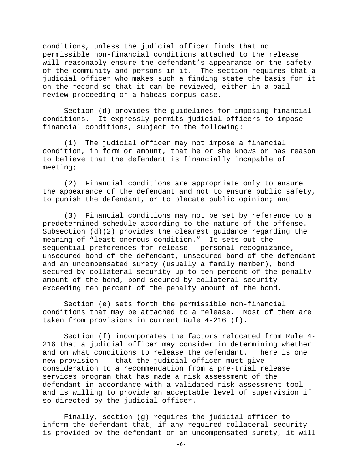conditions, unless the judicial officer finds that no permissible non-financial conditions attached to the release will reasonably ensure the defendant's appearance or the safety of the community and persons in it. The section requires that a judicial officer who makes such a finding state the basis for it on the record so that it can be reviewed, either in a bail review proceeding or a habeas corpus case.

Section (d) provides the guidelines for imposing financial conditions. It expressly permits judicial officers to impose financial conditions, subject to the following:

 (1) The judicial officer may not impose a financial condition, in form or amount, that he or she knows or has reason to believe that the defendant is financially incapable of meeting;

 (2) Financial conditions are appropriate only to ensure the appearance of the defendant and not to ensure public safety, to punish the defendant, or to placate public opinion; and

 (3) Financial conditions may not be set by reference to a predetermined schedule according to the nature of the offense. Subsection  $(d)(2)$  provides the clearest guidance regarding the meaning of "least onerous condition." It sets out the sequential preferences for release – personal recognizance, unsecured bond of the defendant, unsecured bond of the defendant and an uncompensated surety (usually a family member), bond secured by collateral security up to ten percent of the penalty amount of the bond, bond secured by collateral security exceeding ten percent of the penalty amount of the bond.

Section (e) sets forth the permissible non-financial conditions that may be attached to a release. Most of them are taken from provisions in current Rule 4-216 (f).

Section (f) incorporates the factors relocated from Rule 4- 216 that a judicial officer may consider in determining whether and on what conditions to release the defendant. There is one new provision -- that the judicial officer must give consideration to a recommendation from a pre-trial release services program that has made a risk assessment of the defendant in accordance with a validated risk assessment tool and is willing to provide an acceptable level of supervision if so directed by the judicial officer.

Finally, section (g) requires the judicial officer to inform the defendant that, if any required collateral security is provided by the defendant or an uncompensated surety, it will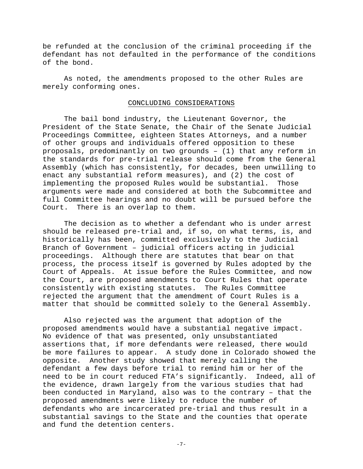be refunded at the conclusion of the criminal proceeding if the defendant has not defaulted in the performance of the conditions of the bond.

As noted, the amendments proposed to the other Rules are merely conforming ones.

#### CONCLUDING CONSIDERATIONS

The bail bond industry, the Lieutenant Governor, the President of the State Senate, the Chair of the Senate Judicial Proceedings Committee, eighteen States Attorneys, and a number of other groups and individuals offered opposition to these proposals, predominantly on two grounds – (1) that any reform in the standards for pre-trial release should come from the General Assembly (which has consistently, for decades, been unwilling to enact any substantial reform measures), and (2) the cost of implementing the proposed Rules would be substantial. Those arguments were made and considered at both the Subcommittee and full Committee hearings and no doubt will be pursued before the Court. There is an overlap to them.

The decision as to whether a defendant who is under arrest should be released pre-trial and, if so, on what terms, is, and historically has been, committed exclusively to the Judicial Branch of Government – judicial officers acting in judicial proceedings. Although there are statutes that bear on that process, the process itself is governed by Rules adopted by the Court of Appeals. At issue before the Rules Committee, and now the Court, are proposed amendments to Court Rules that operate consistently with existing statutes. The Rules Committee rejected the argument that the amendment of Court Rules is a matter that should be committed solely to the General Assembly.

Also rejected was the argument that adoption of the proposed amendments would have a substantial negative impact. No evidence of that was presented, only unsubstantiated assertions that, if more defendants were released, there would be more failures to appear. A study done in Colorado showed the opposite. Another study showed that merely calling the defendant a few days before trial to remind him or her of the need to be in court reduced FTA's significantly. Indeed, all of the evidence, drawn largely from the various studies that had been conducted in Maryland, also was to the contrary – that the proposed amendments were likely to reduce the number of defendants who are incarcerated pre-trial and thus result in a substantial savings to the State and the counties that operate and fund the detention centers.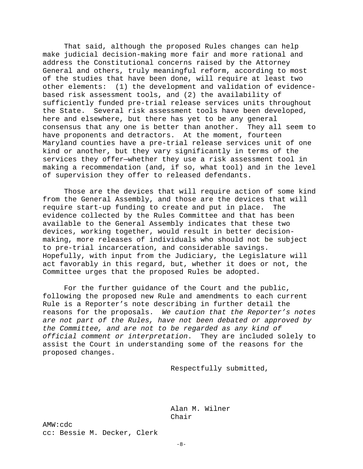That said, although the proposed Rules changes can help make judicial decision-making more fair and more rational and address the Constitutional concerns raised by the Attorney General and others, truly meaningful reform, according to most of the studies that have been done, will require at least two other elements: (1) the development and validation of evidencebased risk assessment tools, and (2) the availability of sufficiently funded pre-trial release services units throughout the State. Several risk assessment tools have been developed, here and elsewhere, but there has yet to be any general consensus that any one is better than another. They all seem to have proponents and detractors. At the moment, fourteen Maryland counties have a pre-trial release services unit of one kind or another, but they vary significantly in terms of the services they offer—whether they use a risk assessment tool in making a recommendation (and, if so, what tool) and in the level of supervision they offer to released defendants.

Those are the devices that will require action of some kind from the General Assembly, and those are the devices that will<br>require start-up funding to create and put in place. The require start-up funding to create and put in place. evidence collected by the Rules Committee and that has been available to the General Assembly indicates that these two devices, working together, would result in better decisionmaking, more releases of individuals who should not be subject to pre-trial incarceration, and considerable savings. Hopefully, with input from the Judiciary, the Legislature will act favorably in this regard, but, whether it does or not, the Committee urges that the proposed Rules be adopted.

For the further guidance of the Court and the public, following the proposed new Rule and amendments to each current Rule is a Reporter's note describing in further detail the reasons for the proposals. *We caution that the Reporter's notes are not part of the Rules, have not been debated or approved by the Committee, and are not to be regarded as any kind of official comment or interpretation*. They are included solely to assist the Court in understanding some of the reasons for the proposed changes.

Respectfully submitted,

Alan M. Wilner Chair

AMW:cdc cc: Bessie M. Decker, Clerk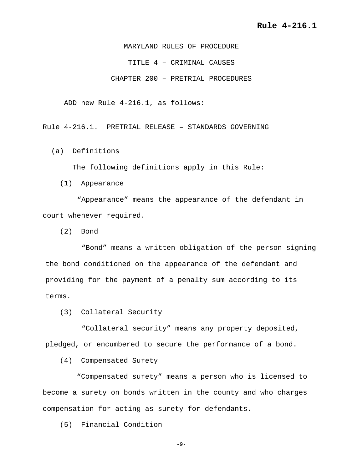MARYLAND RULES OF PROCEDURE TITLE 4 – CRIMINAL CAUSES CHAPTER 200 – PRETRIAL PROCEDURES

ADD new Rule 4-216.1, as follows:

Rule 4-216.1. PRETRIAL RELEASE – STANDARDS GOVERNING

(a) Definitions

The following definitions apply in this Rule:

(1) Appearance

 "Appearance" means the appearance of the defendant in court whenever required.

(2) Bond

"Bond" means a written obligation of the person signing the bond conditioned on the appearance of the defendant and providing for the payment of a penalty sum according to its terms.

(3) Collateral Security

"Collateral security" means any property deposited, pledged, or encumbered to secure the performance of a bond.

(4) Compensated Surety

 "Compensated surety" means a person who is licensed to become a surety on bonds written in the county and who charges compensation for acting as surety for defendants.

(5) Financial Condition

-9-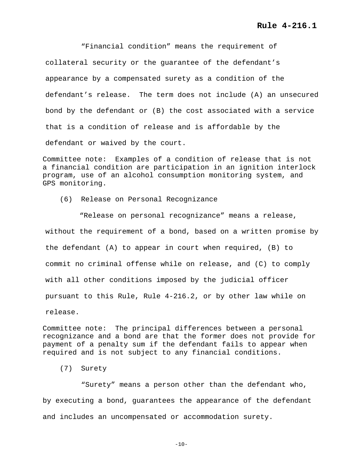"Financial condition" means the requirement of collateral security or the guarantee of the defendant's appearance by a compensated surety as a condition of the defendant's release. The term does not include (A) an unsecured bond by the defendant or (B) the cost associated with a service that is a condition of release and is affordable by the defendant or waived by the court.

Committee note: Examples of a condition of release that is not a financial condition are participation in an ignition interlock program, use of an alcohol consumption monitoring system, and GPS monitoring.

(6) Release on Personal Recognizance

 "Release on personal recognizance" means a release, without the requirement of a bond, based on a written promise by the defendant (A) to appear in court when required, (B) to commit no criminal offense while on release, and (C) to comply with all other conditions imposed by the judicial officer pursuant to this Rule, Rule 4-216.2, or by other law while on release.

Committee note: The principal differences between a personal recognizance and a bond are that the former does not provide for payment of a penalty sum if the defendant fails to appear when required and is not subject to any financial conditions.

(7) Surety

 "Surety" means a person other than the defendant who, by executing a bond, guarantees the appearance of the defendant and includes an uncompensated or accommodation surety.

 $-10-$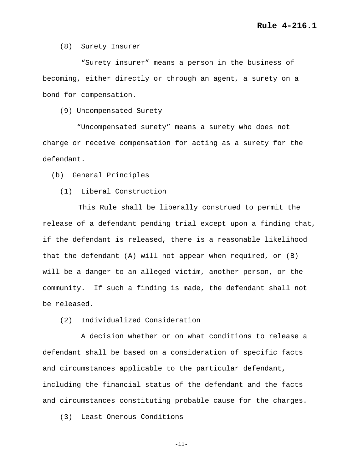(8) Surety Insurer

 "Surety insurer" means a person in the business of becoming, either directly or through an agent, a surety on a bond for compensation.

(9) Uncompensated Surety

 "Uncompensated surety" means a surety who does not charge or receive compensation for acting as a surety for the defendant.

(b) General Principles

(1) Liberal Construction

 This Rule shall be liberally construed to permit the release of a defendant pending trial except upon a finding that, if the defendant is released, there is a reasonable likelihood that the defendant (A) will not appear when required, or (B) will be a danger to an alleged victim, another person, or the community. If such a finding is made, the defendant shall not be released.

(2) Individualized Consideration

 A decision whether or on what conditions to release a defendant shall be based on a consideration of specific facts and circumstances applicable to the particular defendant**,**  including the financial status of the defendant and the facts and circumstances constituting probable cause for the charges.

(3) Least Onerous Conditions

-11-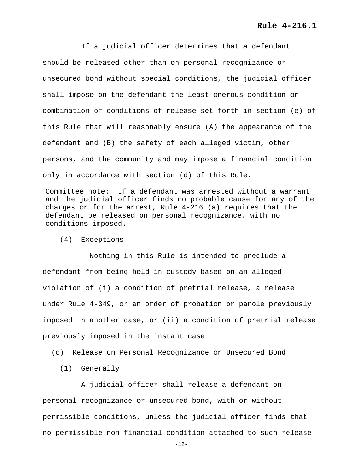If a judicial officer determines that a defendant should be released other than on personal recognizance or unsecured bond without special conditions, the judicial officer shall impose on the defendant the least onerous condition or combination of conditions of release set forth in section (e) of this Rule that will reasonably ensure (A) the appearance of the defendant and (B) the safety of each alleged victim, other persons, and the community and may impose a financial condition only in accordance with section (d) of this Rule.

Committee note: If a defendant was arrested without a warrant and the judicial officer finds no probable cause for any of the charges or for the arrest, Rule 4-216 (a) requires that the defendant be released on personal recognizance, with no conditions imposed.

(4) Exceptions

 Nothing in this Rule is intended to preclude a defendant from being held in custody based on an alleged violation of (i) a condition of pretrial release, a release under Rule 4-349, or an order of probation or parole previously imposed in another case, or (ii) a condition of pretrial release previously imposed in the instant case.

(c) Release on Personal Recognizance or Unsecured Bond

(1) Generally

 A judicial officer shall release a defendant on personal recognizance or unsecured bond, with or without permissible conditions, unless the judicial officer finds that no permissible non-financial condition attached to such release

-12-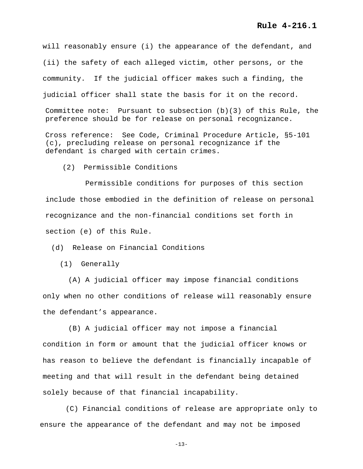will reasonably ensure (i) the appearance of the defendant, and (ii) the safety of each alleged victim, other persons, or the community. If the judicial officer makes such a finding, the judicial officer shall state the basis for it on the record.

Committee note: Pursuant to subsection (b)(3) of this Rule, the preference should be for release on personal recognizance.

Cross reference: See Code, Criminal Procedure Article, §5-101 (c), precluding release on personal recognizance if the defendant is charged with certain crimes.

(2) Permissible Conditions

 Permissible conditions for purposes of this section include those embodied in the definition of release on personal recognizance and the non-financial conditions set forth in section (e) of this Rule.

(d) Release on Financial Conditions

(1) Generally

 (A) A judicial officer may impose financial conditions only when no other conditions of release will reasonably ensure the defendant's appearance.

 (B) A judicial officer may not impose a financial condition in form or amount that the judicial officer knows or has reason to believe the defendant is financially incapable of meeting and that will result in the defendant being detained solely because of that financial incapability.

 (C) Financial conditions of release are appropriate only to ensure the appearance of the defendant and may not be imposed

-13-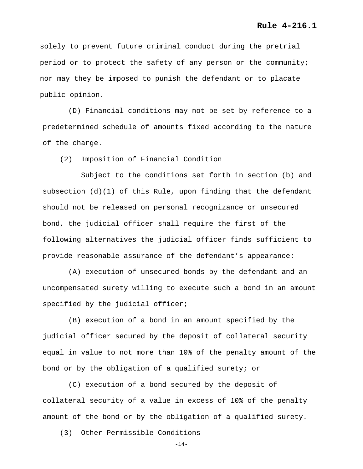solely to prevent future criminal conduct during the pretrial period or to protect the safety of any person or the community; nor may they be imposed to punish the defendant or to placate public opinion.

 (D) Financial conditions may not be set by reference to a predetermined schedule of amounts fixed according to the nature of the charge.

(2) Imposition of Financial Condition

 Subject to the conditions set forth in section (b) and subsection  $(d)(1)$  of this Rule, upon finding that the defendant should not be released on personal recognizance or unsecured bond, the judicial officer shall require the first of the following alternatives the judicial officer finds sufficient to provide reasonable assurance of the defendant's appearance:

(A) execution of unsecured bonds by the defendant and an uncompensated surety willing to execute such a bond in an amount specified by the judicial officer;

 (B) execution of a bond in an amount specified by the judicial officer secured by the deposit of collateral security equal in value to not more than 10% of the penalty amount of the bond or by the obligation of a qualified surety; or

 (C) execution of a bond secured by the deposit of collateral security of a value in excess of 10% of the penalty amount of the bond or by the obligation of a qualified surety.

(3) Other Permissible Conditions

 $-14-$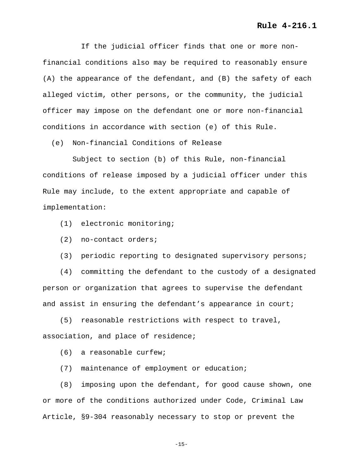If the judicial officer finds that one or more nonfinancial conditions also may be required to reasonably ensure (A) the appearance of the defendant, and (B) the safety of each alleged victim, other persons, or the community, the judicial officer may impose on the defendant one or more non-financial conditions in accordance with section (e) of this Rule.

(e) Non-financial Conditions of Release

 Subject to section (b) of this Rule, non-financial conditions of release imposed by a judicial officer under this Rule may include, to the extent appropriate and capable of implementation:

- (1) electronic monitoring;
- (2) no-contact orders;
- (3) periodic reporting to designated supervisory persons;

 (4) committing the defendant to the custody of a designated person or organization that agrees to supervise the defendant and assist in ensuring the defendant's appearance in court;

 (5) reasonable restrictions with respect to travel, association, and place of residence;

(6) a reasonable curfew;

(7) maintenance of employment or education;

 (8) imposing upon the defendant, for good cause shown, one or more of the conditions authorized under Code, Criminal Law Article, §9-304 reasonably necessary to stop or prevent the

-15-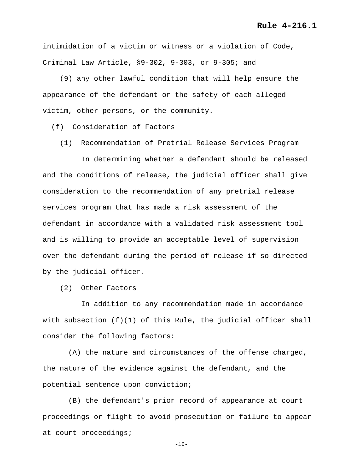intimidation of a victim or witness or a violation of Code, Criminal Law Article, §9-302, 9-303, or 9-305; and

 (9) any other lawful condition that will help ensure the appearance of the defendant or the safety of each alleged victim, other persons, or the community.

(f) Consideration of Factors

(1) Recommendation of Pretrial Release Services Program

 In determining whether a defendant should be released and the conditions of release, the judicial officer shall give consideration to the recommendation of any pretrial release services program that has made a risk assessment of the defendant in accordance with a validated risk assessment tool and is willing to provide an acceptable level of supervision over the defendant during the period of release if so directed by the judicial officer.

(2) Other Factors

 In addition to any recommendation made in accordance with subsection (f)(1) of this Rule, the judicial officer shall consider the following factors:

 (A) the nature and circumstances of the offense charged, the nature of the evidence against the defendant, and the potential sentence upon conviction;

 (B) the defendant's prior record of appearance at court proceedings or flight to avoid prosecution or failure to appear at court proceedings;

-16-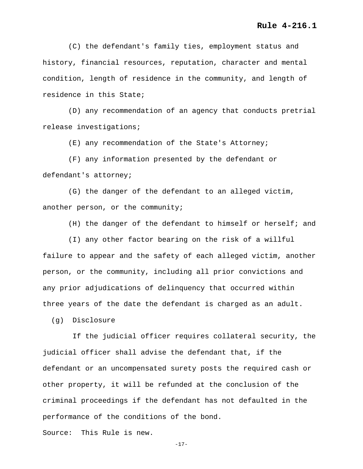(C) the defendant's family ties, employment status and history, financial resources, reputation, character and mental condition, length of residence in the community, and length of residence in this State;

 (D) any recommendation of an agency that conducts pretrial release investigations;

(E) any recommendation of the State's Attorney;

 (F) any information presented by the defendant or defendant's attorney;

 (G) the danger of the defendant to an alleged victim, another person, or the community;

(H) the danger of the defendant to himself or herself; and

 (I) any other factor bearing on the risk of a willful failure to appear and the safety of each alleged victim, another person, or the community, including all prior convictions and any prior adjudications of delinquency that occurred within three years of the date the defendant is charged as an adult.

(g) Disclosure

 If the judicial officer requires collateral security, the judicial officer shall advise the defendant that, if the defendant or an uncompensated surety posts the required cash or other property, it will be refunded at the conclusion of the criminal proceedings if the defendant has not defaulted in the performance of the conditions of the bond.

Source: This Rule is new.

-17-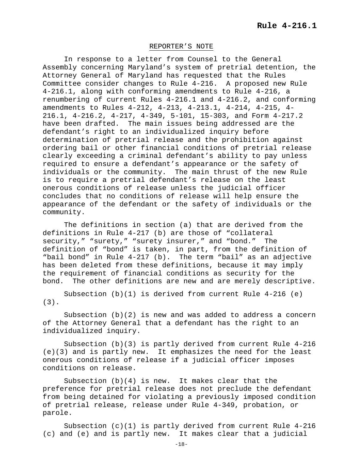#### REPORTER'S NOTE

In response to a letter from Counsel to the General Assembly concerning Maryland's system of pretrial detention, the Attorney General of Maryland has requested that the Rules Committee consider changes to Rule 4-216. A proposed new Rule 4-216.1, along with conforming amendments to Rule 4-216, a renumbering of current Rules 4-216.1 and 4-216.2, and conforming amendments to Rules 4-212, 4-213, 4-213.1, 4-214, 4-215, 4- 216.1, 4-216.2, 4-217, 4-349, 5-101, 15-303, and Form 4-217.2 have been drafted. The main issues being addressed are the defendant's right to an individualized inquiry before determination of pretrial release and the prohibition against ordering bail or other financial conditions of pretrial release clearly exceeding a criminal defendant's ability to pay unless required to ensure a defendant's appearance or the safety of<br>individuals or the community. The main thrust of the new Ru The main thrust of the new Rule is to require a pretrial defendant's release on the least onerous conditions of release unless the judicial officer concludes that no conditions of release will help ensure the appearance of the defendant or the safety of individuals or the community.

The definitions in section (a) that are derived from the definitions in Rule 4-217 (b) are those of "collateral security," "surety," "surety insurer," and "bond." The definition of "bond" is taken, in part, from the definition of "bail bond" in Rule 4-217 (b). The term "bail" as an adjective has been deleted from these definitions, because it may imply the requirement of financial conditions as security for the bond. The other definitions are new and are merely descriptive.

Subsection  $(b)(1)$  is derived from current Rule 4-216 (e) (3).

Subsection  $(b)(2)$  is new and was added to address a concern of the Attorney General that a defendant has the right to an individualized inquiry.

Subsection (b)(3) is partly derived from current Rule 4-216 (e)(3) and is partly new. It emphasizes the need for the least onerous conditions of release if a judicial officer imposes conditions on release.

Subsection  $(b)(4)$  is new. It makes clear that the preference for pretrial release does not preclude the defendant from being detained for violating a previously imposed condition of pretrial release, release under Rule 4-349, probation, or parole.

Subsection (c)(1) is partly derived from current Rule 4-216 (c) and (e) and is partly new. It makes clear that a judicial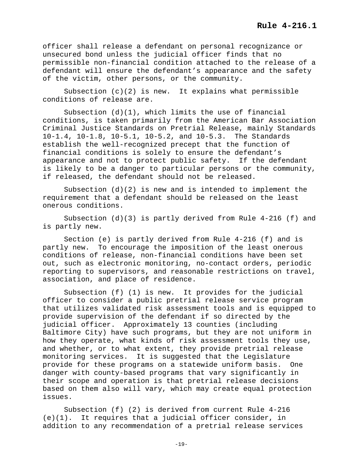officer shall release a defendant on personal recognizance or unsecured bond unless the judicial officer finds that no permissible non-financial condition attached to the release of a defendant will ensure the defendant's appearance and the safety of the victim, other persons, or the community.

Subsection  $(c)(2)$  is new. It explains what permissible conditions of release are.

Subsection (d)(1), which limits the use of financial conditions, is taken primarily from the American Bar Association Criminal Justice Standards on Pretrial Release, mainly Standards 10-1.4, 10-1.8, 10-5.1, 10-5.2, and 10-5.3. The Standards establish the well-recognized precept that the function of financial conditions is solely to ensure the defendant's appearance and not to protect public safety. If the defendant is likely to be a danger to particular persons or the community, if released, the defendant should not be released.

Subsection  $(d)(2)$  is new and is intended to implement the requirement that a defendant should be released on the least onerous conditions.

Subsection (d)(3) is partly derived from Rule 4-216 (f) and is partly new.

Section (e) is partly derived from Rule 4-216 (f) and is partly new. To encourage the imposition of the least onerous conditions of release, non-financial conditions have been set out, such as electronic monitoring, no-contact orders, periodic reporting to supervisors, and reasonable restrictions on travel, association, and place of residence.

Subsection (f) (1) is new. It provides for the judicial officer to consider a public pretrial release service program that utilizes validated risk assessment tools and is equipped to provide supervision of the defendant if so directed by the judicial officer. Approximately 13 counties (including Baltimore City) have such programs, but they are not uniform in how they operate, what kinds of risk assessment tools they use, and whether, or to what extent, they provide pretrial release monitoring services. It is suggested that the Legislature provide for these programs on a statewide uniform basis. One danger with county-based programs that vary significantly in their scope and operation is that pretrial release decisions based on them also will vary, which may create equal protection issues.

Subsection (f) (2) is derived from current Rule 4-216 (e)(1). It requires that a judicial officer consider, in addition to any recommendation of a pretrial release services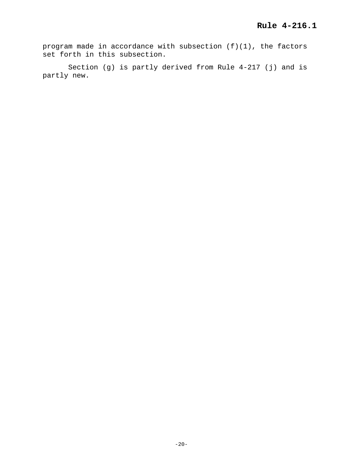program made in accordance with subsection (f)(1), the factors set forth in this subsection.

Section (g) is partly derived from Rule 4-217 (j) and is partly new.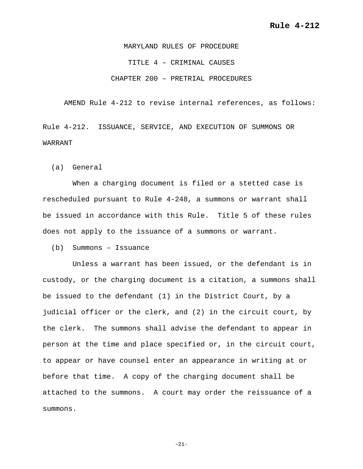MARYLAND RULES OF PROCEDURE TITLE 4 – CRIMINAL CAUSES CHAPTER 200 – PRETRIAL PROCEDURES

AMEND Rule 4-212 to revise internal references, as follows:

Rule 4-212. ISSUANCE, SERVICE, AND EXECUTION OF SUMMONS OR WARRANT

(a) General

 When a charging document is filed or a stetted case is rescheduled pursuant to Rule 4-248, a summons or warrant shall be issued in accordance with this Rule. Title 5 of these rules does not apply to the issuance of a summons or warrant.

(b) Summons – Issuance

 Unless a warrant has been issued, or the defendant is in custody, or the charging document is a citation, a summons shall be issued to the defendant (1) in the District Court, by a judicial officer or the clerk, and (2) in the circuit court, by the clerk. The summons shall advise the defendant to appear in person at the time and place specified or, in the circuit court, to appear or have counsel enter an appearance in writing at or before that time. A copy of the charging document shall be attached to the summons. A court may order the reissuance of a summons.

-21-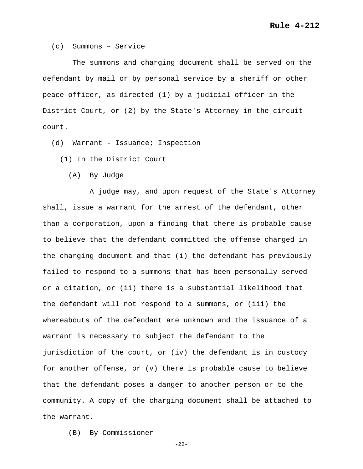(c) Summons – Service

 The summons and charging document shall be served on the defendant by mail or by personal service by a sheriff or other peace officer, as directed (1) by a judicial officer in the District Court, or (2) by the State's Attorney in the circuit court.

(d) Warrant - Issuance; Inspection

(1) In the District Court

(A) By Judge

 A judge may, and upon request of the State's Attorney shall, issue a warrant for the arrest of the defendant, other than a corporation, upon a finding that there is probable cause to believe that the defendant committed the offense charged in the charging document and that (i) the defendant has previously failed to respond to a summons that has been personally served or a citation, or (ii) there is a substantial likelihood that the defendant will not respond to a summons, or (iii) the whereabouts of the defendant are unknown and the issuance of a warrant is necessary to subject the defendant to the jurisdiction of the court, or (iv) the defendant is in custody for another offense, or (v) there is probable cause to believe that the defendant poses a danger to another person or to the community. A copy of the charging document shall be attached to the warrant.

(B) By Commissioner

-22-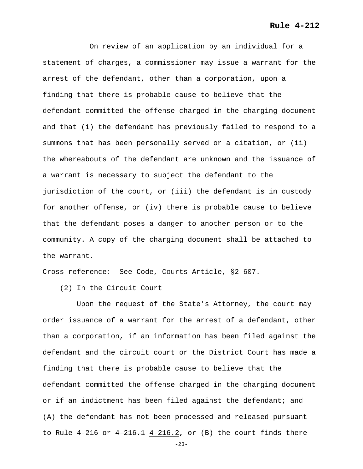# **Rule 4-212**

 On review of an application by an individual for a statement of charges, a commissioner may issue a warrant for the arrest of the defendant, other than a corporation, upon a finding that there is probable cause to believe that the defendant committed the offense charged in the charging document and that (i) the defendant has previously failed to respond to a summons that has been personally served or a citation, or (ii) the whereabouts of the defendant are unknown and the issuance of a warrant is necessary to subject the defendant to the jurisdiction of the court, or (iii) the defendant is in custody for another offense, or (iv) there is probable cause to believe that the defendant poses a danger to another person or to the community. A copy of the charging document shall be attached to the warrant.

Cross reference: See Code, Courts Article, §2-607.

(2) In the Circuit Court

 Upon the request of the State's Attorney, the court may order issuance of a warrant for the arrest of a defendant, other than a corporation, if an information has been filed against the defendant and the circuit court or the District Court has made a finding that there is probable cause to believe that the defendant committed the offense charged in the charging document or if an indictment has been filed against the defendant; and (A) the defendant has not been processed and released pursuant to Rule 4-216 or 4-216.1 4-216.2**,** or (B) the court finds there

-23-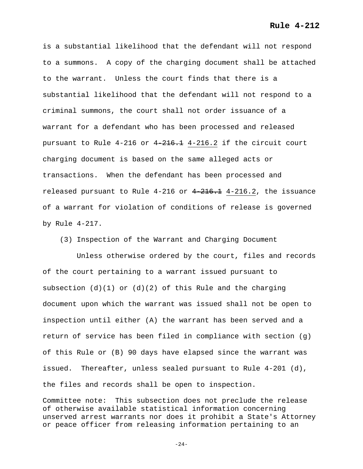**Rule 4-212**

is a substantial likelihood that the defendant will not respond to a summons. A copy of the charging document shall be attached to the warrant. Unless the court finds that there is a substantial likelihood that the defendant will not respond to a criminal summons, the court shall not order issuance of a warrant for a defendant who has been processed and released pursuant to Rule 4-216 or 4-216.1 4-216.2 if the circuit court charging document is based on the same alleged acts or transactions. When the defendant has been processed and released pursuant to Rule  $4-216$  or  $4-216.1$   $4-216.2$ , the issuance of a warrant for violation of conditions of release is governed by Rule 4-217.

(3) Inspection of the Warrant and Charging Document

 Unless otherwise ordered by the court, files and records of the court pertaining to a warrant issued pursuant to subsection  $(d)(1)$  or  $(d)(2)$  of this Rule and the charging document upon which the warrant was issued shall not be open to inspection until either (A) the warrant has been served and a return of service has been filed in compliance with section  $(q)$ of this Rule or (B) 90 days have elapsed since the warrant was issued. Thereafter, unless sealed pursuant to Rule 4-201 (d), the files and records shall be open to inspection.

Committee note: This subsection does not preclude the release of otherwise available statistical information concerning unserved arrest warrants nor does it prohibit a State's Attorney or peace officer from releasing information pertaining to an

 $-24-$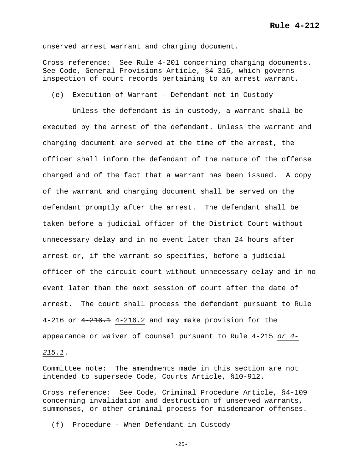unserved arrest warrant and charging document.

Cross reference: See Rule 4-201 concerning charging documents. See Code, General Provisions Article, §4-316, which governs inspection of court records pertaining to an arrest warrant.

(e) Execution of Warrant - Defendant not in Custody

 Unless the defendant is in custody, a warrant shall be executed by the arrest of the defendant. Unless the warrant and charging document are served at the time of the arrest, the officer shall inform the defendant of the nature of the offense charged and of the fact that a warrant has been issued. A copy of the warrant and charging document shall be served on the defendant promptly after the arrest. The defendant shall be taken before a judicial officer of the District Court without unnecessary delay and in no event later than 24 hours after arrest or, if the warrant so specifies, before a judicial officer of the circuit court without unnecessary delay and in no event later than the next session of court after the date of arrest. The court shall process the defendant pursuant to Rule  $4-216$  or  $4-216.1$   $4-216.2$  and may make provision for the appearance or waiver of counsel pursuant to Rule 4-215 *or 4-*

*215.1*.

Committee note: The amendments made in this section are not intended to supersede Code, Courts Article, §10-912.

Cross reference: See Code, Criminal Procedure Article, §4-109 concerning invalidation and destruction of unserved warrants, summonses, or other criminal process for misdemeanor offenses.

(f) Procedure - When Defendant in Custody

-25-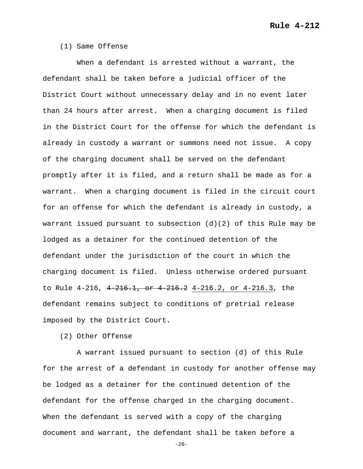## (1) Same Offense

 When a defendant is arrested without a warrant, the defendant shall be taken before a judicial officer of the District Court without unnecessary delay and in no event later than 24 hours after arrest. When a charging document is filed in the District Court for the offense for which the defendant is already in custody a warrant or summons need not issue. A copy of the charging document shall be served on the defendant promptly after it is filed, and a return shall be made as for a warrant. When a charging document is filed in the circuit court for an offense for which the defendant is already in custody, a warrant issued pursuant to subsection  $(d)(2)$  of this Rule may be lodged as a detainer for the continued detention of the defendant under the jurisdiction of the court in which the charging document is filed. Unless otherwise ordered pursuant to Rule 4-216, 4-216.1, or 4-216.2 4-216.2, or 4-216.3, the defendant remains subject to conditions of pretrial release imposed by the District Court.

(2) Other Offense

 A warrant issued pursuant to section (d) of this Rule for the arrest of a defendant in custody for another offense may be lodged as a detainer for the continued detention of the defendant for the offense charged in the charging document. When the defendant is served with a copy of the charging document and warrant, the defendant shall be taken before a

 $-26-$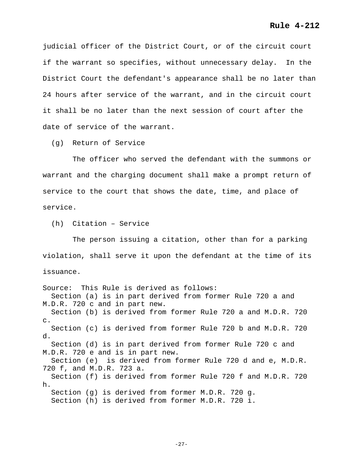judicial officer of the District Court, or of the circuit court if the warrant so specifies, without unnecessary delay. In the District Court the defendant's appearance shall be no later than 24 hours after service of the warrant, and in the circuit court it shall be no later than the next session of court after the date of service of the warrant.

(g) Return of Service

 The officer who served the defendant with the summons or warrant and the charging document shall make a prompt return of service to the court that shows the date, time, and place of service.

(h) Citation – Service

 The person issuing a citation, other than for a parking violation, shall serve it upon the defendant at the time of its issuance.

Source: This Rule is derived as follows: Section (a) is in part derived from former Rule 720 a and M.D.R. 720 c and in part new. Section (b) is derived from former Rule 720 a and M.D.R. 720 c. Section (c) is derived from former Rule 720 b and M.D.R. 720 d. Section (d) is in part derived from former Rule 720 c and M.D.R. 720 e and is in part new. Section (e) is derived from former Rule 720 d and e, M.D.R. 720 f, and M.D.R. 723 a. Section (f) is derived from former Rule 720 f and M.D.R. 720 h. Section (g) is derived from former M.D.R. 720 g. Section (h) is derived from former M.D.R. 720 i.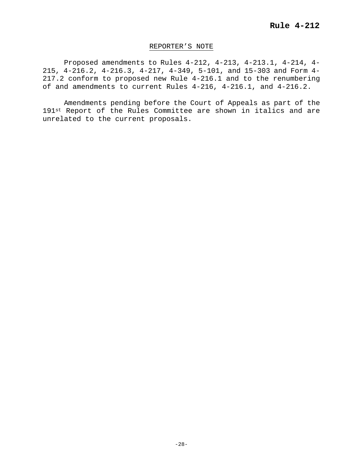# REPORTER'S NOTE

Proposed amendments to Rules 4-212, 4-213, 4-213.1, 4-214, 4- 215, 4-216.2, 4-216.3, 4-217, 4-349, 5-101, and 15-303 and Form 4- 217.2 conform to proposed new Rule 4-216.1 and to the renumbering of and amendments to current Rules 4-216, 4-216.1, and 4-216.2.

Amendments pending before the Court of Appeals as part of the 191st Report of the Rules Committee are shown in italics and are unrelated to the current proposals.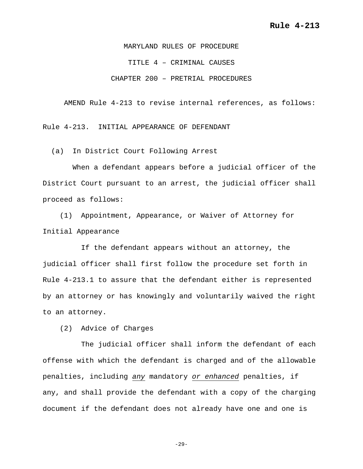MARYLAND RULES OF PROCEDURE TITLE 4 – CRIMINAL CAUSES CHAPTER 200 – PRETRIAL PROCEDURES

AMEND Rule 4-213 to revise internal references, as follows:

Rule 4-213. INITIAL APPEARANCE OF DEFENDANT

(a) In District Court Following Arrest

 When a defendant appears before a judicial officer of the District Court pursuant to an arrest, the judicial officer shall proceed as follows:

 (1) Appointment, Appearance, or Waiver of Attorney for Initial Appearance

 If the defendant appears without an attorney, the judicial officer shall first follow the procedure set forth in Rule 4-213.1 to assure that the defendant either is represented by an attorney or has knowingly and voluntarily waived the right to an attorney.

(2) Advice of Charges

 The judicial officer shall inform the defendant of each offense with which the defendant is charged and of the allowable penalties, including *any* mandatory *or enhanced* penalties, if any, and shall provide the defendant with a copy of the charging document if the defendant does not already have one and one is

 $-29-$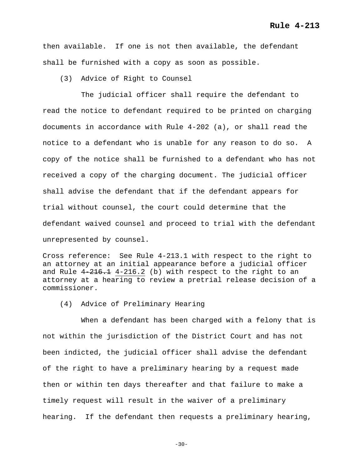then available. If one is not then available, the defendant shall be furnished with a copy as soon as possible.

(3) Advice of Right to Counsel

 The judicial officer shall require the defendant to read the notice to defendant required to be printed on charging documents in accordance with Rule 4-202 (a), or shall read the notice to a defendant who is unable for any reason to do so. A copy of the notice shall be furnished to a defendant who has not received a copy of the charging document. The judicial officer shall advise the defendant that if the defendant appears for trial without counsel, the court could determine that the defendant waived counsel and proceed to trial with the defendant unrepresented by counsel.

Cross reference: See Rule 4-213.1 with respect to the right to an attorney at an initial appearance before a judicial officer and Rule  $4-216.1$  4-216.2 (b) with respect to the right to an attorney at a hearing to review a pretrial release decision of a commissioner.

(4) Advice of Preliminary Hearing

 When a defendant has been charged with a felony that is not within the jurisdiction of the District Court and has not been indicted, the judicial officer shall advise the defendant of the right to have a preliminary hearing by a request made then or within ten days thereafter and that failure to make a timely request will result in the waiver of a preliminary hearing. If the defendant then requests a preliminary hearing,

 $-30-$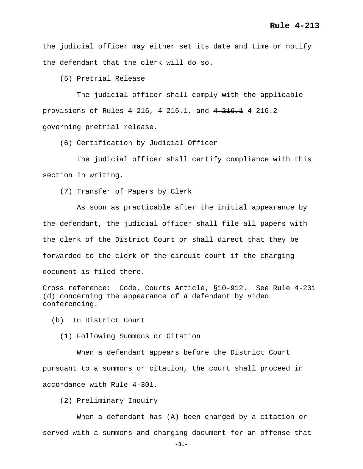the judicial officer may either set its date and time or notify the defendant that the clerk will do so.

(5) Pretrial Release

 The judicial officer shall comply with the applicable provisions of Rules 4-216, 4-216.1, and 4-216.1 4-216.2 governing pretrial release.

(6) Certification by Judicial Officer

 The judicial officer shall certify compliance with this section in writing.

(7) Transfer of Papers by Clerk

 As soon as practicable after the initial appearance by the defendant, the judicial officer shall file all papers with the clerk of the District Court or shall direct that they be forwarded to the clerk of the circuit court if the charging document is filed there.

Cross reference: Code, Courts Article, §10-912. See Rule 4-231 (d) concerning the appearance of a defendant by video conferencing.

(b) In District Court

(1) Following Summons or Citation

 When a defendant appears before the District Court pursuant to a summons or citation, the court shall proceed in accordance with Rule 4-301.

(2) Preliminary Inquiry

 When a defendant has (A) been charged by a citation or served with a summons and charging document for an offense that

-31-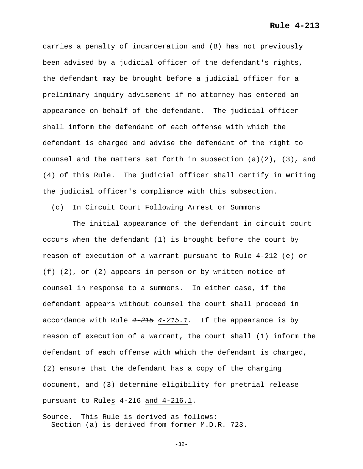carries a penalty of incarceration and (B) has not previously been advised by a judicial officer of the defendant's rights, the defendant may be brought before a judicial officer for a preliminary inquiry advisement if no attorney has entered an appearance on behalf of the defendant. The judicial officer shall inform the defendant of each offense with which the defendant is charged and advise the defendant of the right to counsel and the matters set forth in subsection  $(a)(2)$ ,  $(3)$ , and (4) of this Rule. The judicial officer shall certify in writing the judicial officer's compliance with this subsection.

(c) In Circuit Court Following Arrest or Summons

 The initial appearance of the defendant in circuit court occurs when the defendant (1) is brought before the court by reason of execution of a warrant pursuant to Rule 4-212 (e) or (f) (2), or (2) appears in person or by written notice of counsel in response to a summons. In either case, if the defendant appears without counsel the court shall proceed in accordance with Rule *4-215 4-215.1*. If the appearance is by reason of execution of a warrant, the court shall (1) inform the defendant of each offense with which the defendant is charged, (2) ensure that the defendant has a copy of the charging document, and (3) determine eligibility for pretrial release pursuant to Rules 4-216 and 4-216.1.

Source. This Rule is derived as follows: Section (a) is derived from former M.D.R. 723.

-32-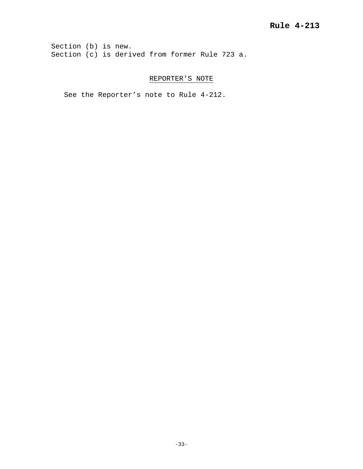Section (b) is new. Section (c) is derived from former Rule 723 a.

# REPORTER'S NOTE

See the Reporter's note to Rule 4-212.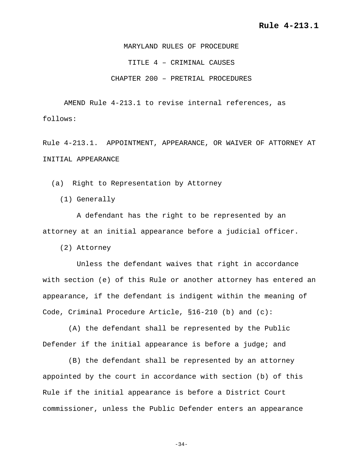MARYLAND RULES OF PROCEDURE TITLE 4 – CRIMINAL CAUSES CHAPTER 200 – PRETRIAL PROCEDURES

AMEND Rule 4-213.1 to revise internal references, as follows:

Rule 4-213.1. APPOINTMENT, APPEARANCE, OR WAIVER OF ATTORNEY AT INITIAL APPEARANCE

(a) Right to Representation by Attorney

(1) Generally

 A defendant has the right to be represented by an attorney at an initial appearance before a judicial officer.

(2) Attorney

 Unless the defendant waives that right in accordance with section (e) of this Rule or another attorney has entered an appearance, if the defendant is indigent within the meaning of Code, Criminal Procedure Article, §16-210 (b) and (c):

 (A) the defendant shall be represented by the Public Defender if the initial appearance is before a judge; and

 (B) the defendant shall be represented by an attorney appointed by the court in accordance with section (b) of this Rule if the initial appearance is before a District Court commissioner, unless the Public Defender enters an appearance

-34-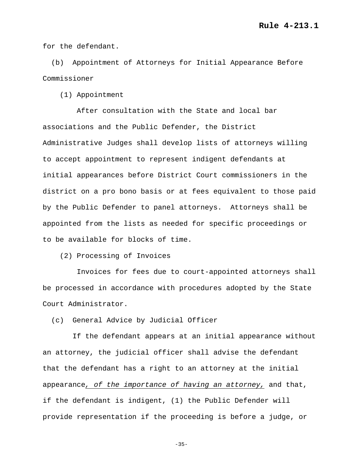for the defendant.

 (b) Appointment of Attorneys for Initial Appearance Before Commissioner

(1) Appointment

 After consultation with the State and local bar associations and the Public Defender, the District Administrative Judges shall develop lists of attorneys willing to accept appointment to represent indigent defendants at initial appearances before District Court commissioners in the district on a pro bono basis or at fees equivalent to those paid by the Public Defender to panel attorneys. Attorneys shall be appointed from the lists as needed for specific proceedings or to be available for blocks of time.

(2) Processing of Invoices

 Invoices for fees due to court-appointed attorneys shall be processed in accordance with procedures adopted by the State Court Administrator.

(c) General Advice by Judicial Officer

 If the defendant appears at an initial appearance without an attorney, the judicial officer shall advise the defendant that the defendant has a right to an attorney at the initial appearance*, of the importance of having an attorney,* and that, if the defendant is indigent, (1) the Public Defender will provide representation if the proceeding is before a judge, or

-35-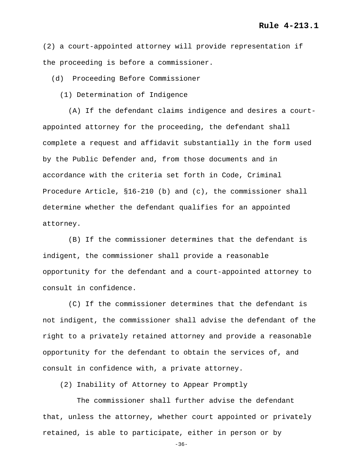(2) a court-appointed attorney will provide representation if the proceeding is before a commissioner.

(d) Proceeding Before Commissioner

(1) Determination of Indigence

 (A) If the defendant claims indigence and desires a courtappointed attorney for the proceeding, the defendant shall complete a request and affidavit substantially in the form used by the Public Defender and, from those documents and in accordance with the criteria set forth in Code, Criminal Procedure Article, §16-210 (b) and (c), the commissioner shall determine whether the defendant qualifies for an appointed attorney.

 (B) If the commissioner determines that the defendant is indigent, the commissioner shall provide a reasonable opportunity for the defendant and a court-appointed attorney to consult in confidence.

 (C) If the commissioner determines that the defendant is not indigent, the commissioner shall advise the defendant of the right to a privately retained attorney and provide a reasonable opportunity for the defendant to obtain the services of, and consult in confidence with, a private attorney.

(2) Inability of Attorney to Appear Promptly

 The commissioner shall further advise the defendant that, unless the attorney, whether court appointed or privately retained, is able to participate, either in person or by

-36-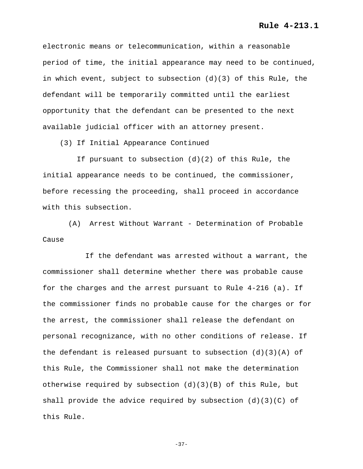## **Rule 4-213.1**

electronic means or telecommunication, within a reasonable period of time, the initial appearance may need to be continued, in which event, subject to subsection (d)(3) of this Rule, the defendant will be temporarily committed until the earliest opportunity that the defendant can be presented to the next available judicial officer with an attorney present.

(3) If Initial Appearance Continued

 If pursuant to subsection (d)(2) of this Rule, the initial appearance needs to be continued, the commissioner, before recessing the proceeding, shall proceed in accordance with this subsection.

 (A) Arrest Without Warrant - Determination of Probable Cause

 If the defendant was arrested without a warrant, the commissioner shall determine whether there was probable cause for the charges and the arrest pursuant to Rule 4-216 (a). If the commissioner finds no probable cause for the charges or for the arrest, the commissioner shall release the defendant on personal recognizance, with no other conditions of release. If the defendant is released pursuant to subsection  $(d)(3)(A)$  of this Rule, the Commissioner shall not make the determination otherwise required by subsection  $(d)(3)(B)$  of this Rule, but shall provide the advice required by subsection (d)(3)(C) of this Rule.

-37-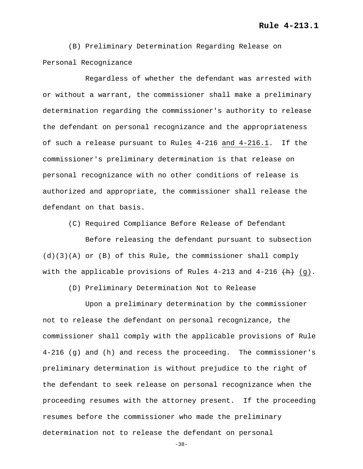(B) Preliminary Determination Regarding Release on Personal Recognizance

 Regardless of whether the defendant was arrested with or without a warrant, the commissioner shall make a preliminary determination regarding the commissioner's authority to release the defendant on personal recognizance and the appropriateness of such a release pursuant to Rules 4-216 and 4-216.1. If the commissioner's preliminary determination is that release on personal recognizance with no other conditions of release is authorized and appropriate, the commissioner shall release the defendant on that basis.

(C) Required Compliance Before Release of Defendant

 Before releasing the defendant pursuant to subsection (d)(3)(A) or (B) of this Rule, the commissioner shall comply with the applicable provisions of Rules  $4-213$  and  $4-216$   $(\mathrm{H})$  (q).

(D) Preliminary Determination Not to Release

 Upon a preliminary determination by the commissioner not to release the defendant on personal recognizance, the commissioner shall comply with the applicable provisions of Rule 4-216 (g) and (h) and recess the proceeding. The commissioner's preliminary determination is without prejudice to the right of the defendant to seek release on personal recognizance when the proceeding resumes with the attorney present. If the proceeding resumes before the commissioner who made the preliminary determination not to release the defendant on personal

-38-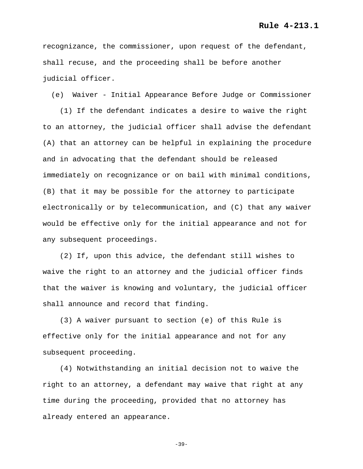recognizance, the commissioner, upon request of the defendant, shall recuse, and the proceeding shall be before another judicial officer.

(e) Waiver - Initial Appearance Before Judge or Commissioner

 (1) If the defendant indicates a desire to waive the right to an attorney, the judicial officer shall advise the defendant (A) that an attorney can be helpful in explaining the procedure and in advocating that the defendant should be released immediately on recognizance or on bail with minimal conditions, (B) that it may be possible for the attorney to participate electronically or by telecommunication, and (C) that any waiver would be effective only for the initial appearance and not for any subsequent proceedings.

 (2) If, upon this advice, the defendant still wishes to waive the right to an attorney and the judicial officer finds that the waiver is knowing and voluntary, the judicial officer shall announce and record that finding.

 (3) A waiver pursuant to section (e) of this Rule is effective only for the initial appearance and not for any subsequent proceeding.

 (4) Notwithstanding an initial decision not to waive the right to an attorney, a defendant may waive that right at any time during the proceeding, provided that no attorney has already entered an appearance.

-39-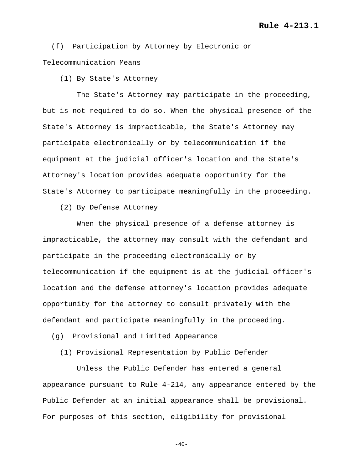(f) Participation by Attorney by Electronic or Telecommunication Means

(1) By State's Attorney

 The State's Attorney may participate in the proceeding, but is not required to do so. When the physical presence of the State's Attorney is impracticable, the State's Attorney may participate electronically or by telecommunication if the equipment at the judicial officer's location and the State's Attorney's location provides adequate opportunity for the State's Attorney to participate meaningfully in the proceeding.

(2) By Defense Attorney

 When the physical presence of a defense attorney is impracticable, the attorney may consult with the defendant and participate in the proceeding electronically or by telecommunication if the equipment is at the judicial officer's location and the defense attorney's location provides adequate opportunity for the attorney to consult privately with the defendant and participate meaningfully in the proceeding.

(g) Provisional and Limited Appearance

(1) Provisional Representation by Public Defender

 Unless the Public Defender has entered a general appearance pursuant to Rule 4-214, any appearance entered by the Public Defender at an initial appearance shall be provisional. For purposes of this section, eligibility for provisional

 $-40-$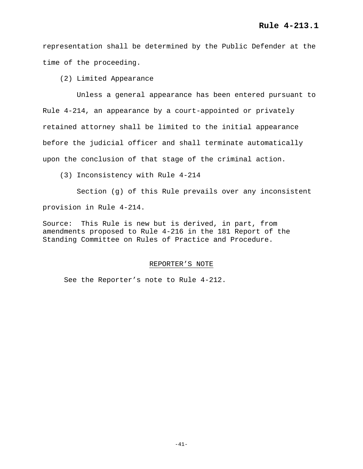representation shall be determined by the Public Defender at the time of the proceeding.

(2) Limited Appearance

 Unless a general appearance has been entered pursuant to Rule 4-214, an appearance by a court-appointed or privately retained attorney shall be limited to the initial appearance before the judicial officer and shall terminate automatically upon the conclusion of that stage of the criminal action.

(3) Inconsistency with Rule 4-214

 Section (g) of this Rule prevails over any inconsistent provision in Rule 4-214.

Source: This Rule is new but is derived, in part, from amendments proposed to Rule 4-216 in the 181 Report of the Standing Committee on Rules of Practice and Procedure.

## REPORTER'S NOTE

See the Reporter's note to Rule 4-212.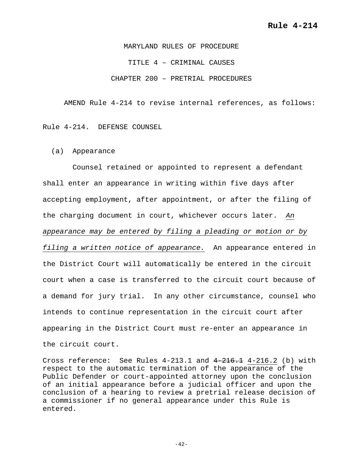MARYLAND RULES OF PROCEDURE TITLE 4 – CRIMINAL CAUSES CHAPTER 200 – PRETRIAL PROCEDURES

AMEND Rule 4-214 to revise internal references, as follows:

Rule 4-214. DEFENSE COUNSEL

(a) Appearance

 Counsel retained or appointed to represent a defendant shall enter an appearance in writing within five days after accepting employment, after appointment, or after the filing of the charging document in court, whichever occurs later. *An appearance may be entered by filing a pleading or motion or by filing a written notice of appearance.* An appearance entered in the District Court will automatically be entered in the circuit court when a case is transferred to the circuit court because of a demand for jury trial. In any other circumstance, counsel who intends to continue representation in the circuit court after appearing in the District Court must re-enter an appearance in the circuit court.

Cross reference: See Rules  $4-213.1$  and  $4-216.1$   $4-216.2$  (b) with respect to the automatic termination of the appearance of the Public Defender or court-appointed attorney upon the conclusion of an initial appearance before a judicial officer and upon the conclusion of a hearing to review a pretrial release decision of a commissioner if no general appearance under this Rule is entered.

 $-42-$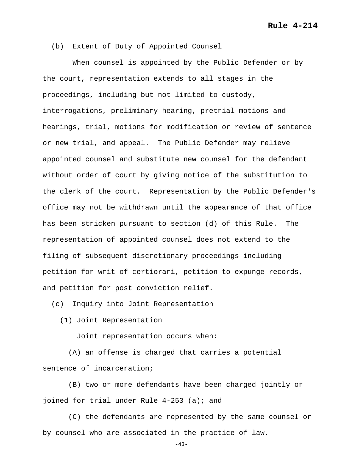**Rule 4-214**

(b) Extent of Duty of Appointed Counsel

 When counsel is appointed by the Public Defender or by the court, representation extends to all stages in the proceedings, including but not limited to custody, interrogations, preliminary hearing, pretrial motions and hearings, trial, motions for modification or review of sentence or new trial, and appeal. The Public Defender may relieve appointed counsel and substitute new counsel for the defendant without order of court by giving notice of the substitution to the clerk of the court. Representation by the Public Defender's office may not be withdrawn until the appearance of that office has been stricken pursuant to section (d) of this Rule. The representation of appointed counsel does not extend to the filing of subsequent discretionary proceedings including petition for writ of certiorari, petition to expunge records, and petition for post conviction relief.

(c) Inquiry into Joint Representation

(1) Joint Representation

Joint representation occurs when:

 (A) an offense is charged that carries a potential sentence of incarceration;

 (B) two or more defendants have been charged jointly or joined for trial under Rule 4-253 (a); and

 (C) the defendants are represented by the same counsel or by counsel who are associated in the practice of law.

 $-43-$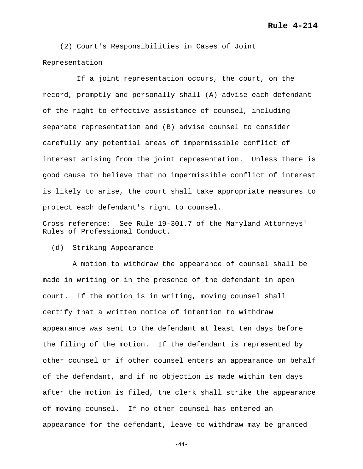(2) Court's Responsibilities in Cases of Joint Representation

 If a joint representation occurs, the court, on the record, promptly and personally shall (A) advise each defendant of the right to effective assistance of counsel, including separate representation and (B) advise counsel to consider carefully any potential areas of impermissible conflict of interest arising from the joint representation. Unless there is good cause to believe that no impermissible conflict of interest is likely to arise, the court shall take appropriate measures to protect each defendant's right to counsel.

Cross reference: See Rule 19-301.7 of the Maryland Attorneys' Rules of Professional Conduct.

(d) Striking Appearance

 A motion to withdraw the appearance of counsel shall be made in writing or in the presence of the defendant in open court. If the motion is in writing, moving counsel shall certify that a written notice of intention to withdraw appearance was sent to the defendant at least ten days before the filing of the motion. If the defendant is represented by other counsel or if other counsel enters an appearance on behalf of the defendant, and if no objection is made within ten days after the motion is filed, the clerk shall strike the appearance of moving counsel. If no other counsel has entered an appearance for the defendant, leave to withdraw may be granted

 $-44-$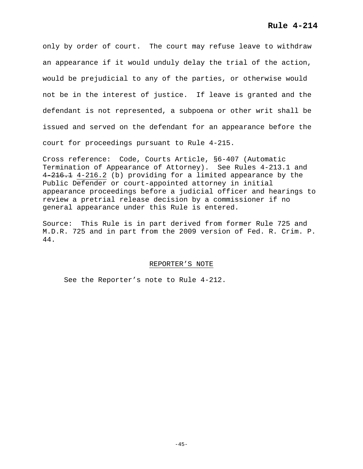only by order of court. The court may refuse leave to withdraw an appearance if it would unduly delay the trial of the action, would be prejudicial to any of the parties, or otherwise would not be in the interest of justice. If leave is granted and the defendant is not represented, a subpoena or other writ shall be issued and served on the defendant for an appearance before the court for proceedings pursuant to Rule 4-215.

Cross reference: Code, Courts Article, §6-407 (Automatic Termination of Appearance of Attorney). See Rules 4-213.1 and 4 216.1 4-216.2 (b) providing for a limited appearance by the Public Defender or court-appointed attorney in initial appearance proceedings before a judicial officer and hearings to review a pretrial release decision by a commissioner if no general appearance under this Rule is entered.

Source: This Rule is in part derived from former Rule 725 and M.D.R. 725 and in part from the 2009 version of Fed. R. Crim. P. 44.

## REPORTER'S NOTE

See the Reporter's note to Rule 4-212.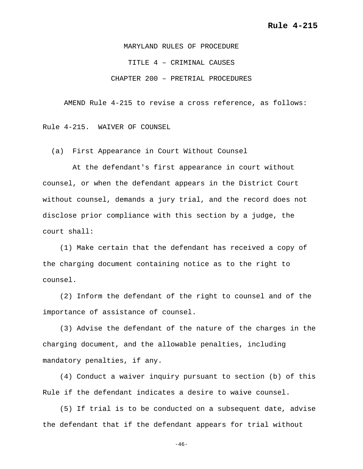MARYLAND RULES OF PROCEDURE TITLE 4 – CRIMINAL CAUSES CHAPTER 200 – PRETRIAL PROCEDURES

AMEND Rule 4-215 to revise a cross reference, as follows:

Rule 4-215. WAIVER OF COUNSEL

(a) First Appearance in Court Without Counsel

 At the defendant's first appearance in court without counsel, or when the defendant appears in the District Court without counsel, demands a jury trial, and the record does not disclose prior compliance with this section by a judge, the court shall:

 (1) Make certain that the defendant has received a copy of the charging document containing notice as to the right to counsel.

 (2) Inform the defendant of the right to counsel and of the importance of assistance of counsel.

 (3) Advise the defendant of the nature of the charges in the charging document, and the allowable penalties, including mandatory penalties, if any.

 (4) Conduct a waiver inquiry pursuant to section (b) of this Rule if the defendant indicates a desire to waive counsel.

 (5) If trial is to be conducted on a subsequent date, advise the defendant that if the defendant appears for trial without

 $-46-$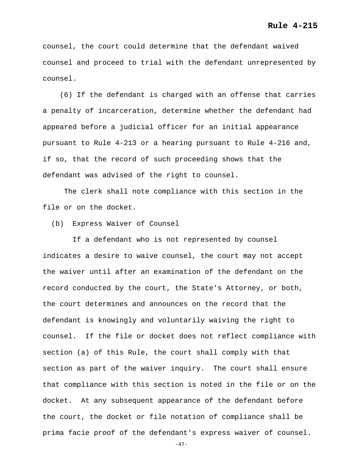counsel, the court could determine that the defendant waived counsel and proceed to trial with the defendant unrepresented by counsel.

 (6) If the defendant is charged with an offense that carries a penalty of incarceration, determine whether the defendant had appeared before a judicial officer for an initial appearance pursuant to Rule 4-213 or a hearing pursuant to Rule 4-216 and, if so, that the record of such proceeding shows that the defendant was advised of the right to counsel.

The clerk shall note compliance with this section in the file or on the docket.

(b) Express Waiver of Counsel

 If a defendant who is not represented by counsel indicates a desire to waive counsel, the court may not accept the waiver until after an examination of the defendant on the record conducted by the court, the State's Attorney, or both, the court determines and announces on the record that the defendant is knowingly and voluntarily waiving the right to counsel. If the file or docket does not reflect compliance with section (a) of this Rule, the court shall comply with that section as part of the waiver inquiry. The court shall ensure that compliance with this section is noted in the file or on the docket. At any subsequent appearance of the defendant before the court, the docket or file notation of compliance shall be prima facie proof of the defendant's express waiver of counsel.

 $-47-$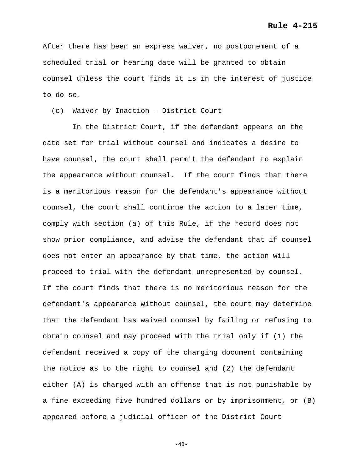After there has been an express waiver, no postponement of a scheduled trial or hearing date will be granted to obtain counsel unless the court finds it is in the interest of justice to do so.

(c) Waiver by Inaction - District Court

 In the District Court, if the defendant appears on the date set for trial without counsel and indicates a desire to have counsel, the court shall permit the defendant to explain the appearance without counsel. If the court finds that there is a meritorious reason for the defendant's appearance without counsel, the court shall continue the action to a later time, comply with section (a) of this Rule, if the record does not show prior compliance, and advise the defendant that if counsel does not enter an appearance by that time, the action will proceed to trial with the defendant unrepresented by counsel. If the court finds that there is no meritorious reason for the defendant's appearance without counsel, the court may determine that the defendant has waived counsel by failing or refusing to obtain counsel and may proceed with the trial only if (1) the defendant received a copy of the charging document containing the notice as to the right to counsel and (2) the defendant either (A) is charged with an offense that is not punishable by a fine exceeding five hundred dollars or by imprisonment, or (B) appeared before a judicial officer of the District Court

 $-48-$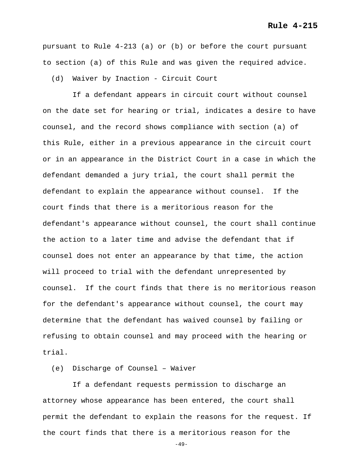pursuant to Rule 4-213 (a) or (b) or before the court pursuant to section (a) of this Rule and was given the required advice.

(d) Waiver by Inaction - Circuit Court

 If a defendant appears in circuit court without counsel on the date set for hearing or trial, indicates a desire to have counsel, and the record shows compliance with section (a) of this Rule, either in a previous appearance in the circuit court or in an appearance in the District Court in a case in which the defendant demanded a jury trial, the court shall permit the defendant to explain the appearance without counsel. If the court finds that there is a meritorious reason for the defendant's appearance without counsel, the court shall continue the action to a later time and advise the defendant that if counsel does not enter an appearance by that time, the action will proceed to trial with the defendant unrepresented by counsel. If the court finds that there is no meritorious reason for the defendant's appearance without counsel, the court may determine that the defendant has waived counsel by failing or refusing to obtain counsel and may proceed with the hearing or trial.

# (e) Discharge of Counsel – Waiver

 If a defendant requests permission to discharge an attorney whose appearance has been entered, the court shall permit the defendant to explain the reasons for the request. If the court finds that there is a meritorious reason for the

 $-49-$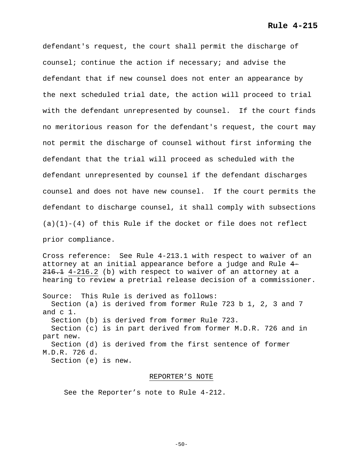defendant's request, the court shall permit the discharge of counsel; continue the action if necessary; and advise the defendant that if new counsel does not enter an appearance by the next scheduled trial date, the action will proceed to trial with the defendant unrepresented by counsel. If the court finds no meritorious reason for the defendant's request, the court may not permit the discharge of counsel without first informing the defendant that the trial will proceed as scheduled with the defendant unrepresented by counsel if the defendant discharges counsel and does not have new counsel. If the court permits the defendant to discharge counsel, it shall comply with subsections  $(a)(1)-(4)$  of this Rule if the docket or file does not reflect prior compliance.

Cross reference: See Rule 4-213.1 with respect to waiver of an attorney at an initial appearance before a judge and Rule 4-  $216.1$  4-216.2 (b) with respect to waiver of an attorney at a hearing to review a pretrial release decision of a commissioner.

Source: This Rule is derived as follows: Section (a) is derived from former Rule 723 b 1, 2, 3 and 7 and c 1. Section (b) is derived from former Rule 723. Section (c) is in part derived from former M.D.R. 726 and in part new. Section (d) is derived from the first sentence of former M.D.R. 726 d. Section (e) is new.

#### REPORTER'S NOTE

See the Reporter's note to Rule 4-212.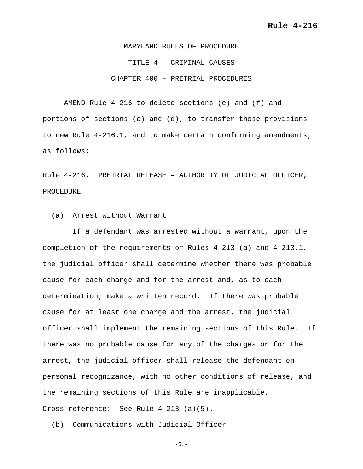MARYLAND RULES OF PROCEDURE TITLE 4 – CRIMINAL CAUSES CHAPTER 400 – PRETRIAL PROCEDURES

AMEND Rule 4-216 to delete sections (e) and (f) and portions of sections (c) and (d), to transfer those provisions to new Rule 4-216.1, and to make certain conforming amendments, as follows:

Rule 4-216. PRETRIAL RELEASE – AUTHORITY OF JUDICIAL OFFICER; PROCEDURE

(a) Arrest without Warrant

 If a defendant was arrested without a warrant, upon the completion of the requirements of Rules 4-213 (a) and 4-213.1, the judicial officer shall determine whether there was probable cause for each charge and for the arrest and, as to each determination, make a written record. If there was probable cause for at least one charge and the arrest, the judicial officer shall implement the remaining sections of this Rule. If there was no probable cause for any of the charges or for the arrest, the judicial officer shall release the defendant on personal recognizance, with no other conditions of release, and the remaining sections of this Rule are inapplicable. Cross reference: See Rule 4-213 (a)(5).

(b) Communications with Judicial Officer

-51-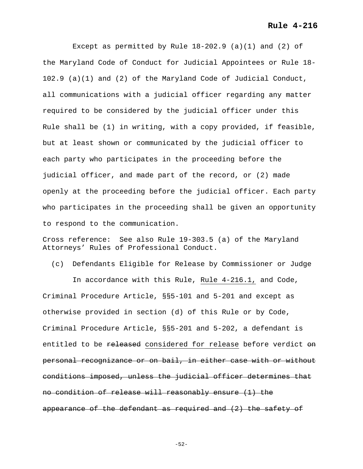# **Rule 4-216**

Except as permitted by Rule  $18-202.9$  (a)(1) and (2) of the Maryland Code of Conduct for Judicial Appointees or Rule 18- 102.9 (a)(1) and (2) of the Maryland Code of Judicial Conduct, all communications with a judicial officer regarding any matter required to be considered by the judicial officer under this Rule shall be (1) in writing, with a copy provided, if feasible, but at least shown or communicated by the judicial officer to each party who participates in the proceeding before the judicial officer, and made part of the record, or (2) made openly at the proceeding before the judicial officer. Each party who participates in the proceeding shall be given an opportunity to respond to the communication.

Cross reference: See also Rule 19-303.5 (a) of the Maryland Attorneys' Rules of Professional Conduct.

(c) Defendants Eligible for Release by Commissioner or Judge

 In accordance with this Rule, Rule 4-216.1, and Code, Criminal Procedure Article, §§5-101 and 5-201 and except as otherwise provided in section (d) of this Rule or by Code, Criminal Procedure Article, §§5-201 and 5-202, a defendant is entitled to be released considered for release before verdict on personal recognizance or on bail, in either case with or without conditions imposed, unless the judicial officer determines that no condition of release will reasonably ensure (1) the appearance of the defendant as required and (2) the safety of

-52-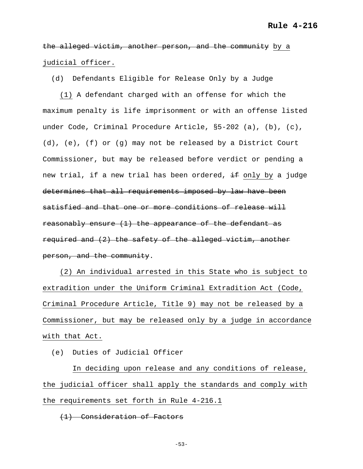the alleged victim, another person, and the community by a judicial officer.

(d) Defendants Eligible for Release Only by a Judge

 (1) A defendant charged with an offense for which the maximum penalty is life imprisonment or with an offense listed under Code, Criminal Procedure Article, §5-202 (a), (b), (c), (d), (e), (f) or (g) may not be released by a District Court Commissioner, but may be released before verdict or pending a new trial, if a new trial has been ordered, if only by a judge determines that all requirements imposed by law have been satisfied and that one or more conditions of release will reasonably ensure (1) the appearance of the defendant as required and (2) the safety of the alleged victim, another person, and the community.

 (2) An individual arrested in this State who is subject to extradition under the Uniform Criminal Extradition Act (Code, Criminal Procedure Article, Title 9) may not be released by a Commissioner, but may be released only by a judge in accordance with that Act.

(e) Duties of Judicial Officer

 In deciding upon release and any conditions of release, the judicial officer shall apply the standards and comply with the requirements set forth in Rule 4-216.1

(1) Consideration of Factors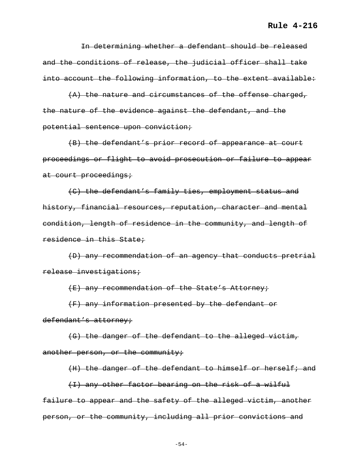In determining whether a defendant should be released and the conditions of release, the judicial officer shall take into account the following information, to the extent available:

 (A) the nature and circumstances of the offense charged, the nature of the evidence against the defendant, and the potential sentence upon conviction;

 (B) the defendant's prior record of appearance at court proceedings or flight to avoid prosecution or failure to appear at court proceedings;

 (C) the defendant's family ties, employment status and history, financial resources, reputation, character and mental condition, length of residence in the community, and length of residence in this State;

 (D) any recommendation of an agency that conducts pretrial release investigations;

(E) any recommendation of the State's Attorney;

 (F) any information presented by the defendant or defendant's attorney;

 (G) the danger of the defendant to the alleged victim, another person, or the community;

 (I) any other factor bearing on the risk of a wilful failure to appear and the safety of the alleged victim, another person, or the community, including all prior convictions and

(H) the danger of the defendant to himself or herself; and

-54-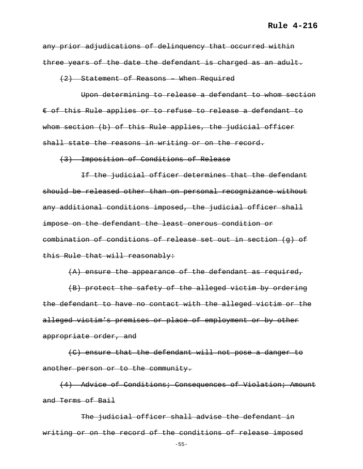any prior adjudications of delinquency that occurred within three years of the date the defendant is charged as an adult.

(2) Statement of Reasons – When Required

 Upon determining to release a defendant to whom section € of this Rule applies or to refuse to release a defendant to whom section (b) of this Rule applies, the judicial officer shall state the reasons in writing or on the record.

(3) Imposition of Conditions of Release

 If the judicial officer determines that the defendant should be released other than on personal recognizance without any additional conditions imposed, the judicial officer shall impose on the defendant the least onerous condition or combination of conditions of release set out in section (g) of this Rule that will reasonably:

(A) ensure the appearance of the defendant as required,

 (B) protect the safety of the alleged victim by ordering the defendant to have no contact with the alleged victim or the alleged victim's premises or place of employment or by other appropriate order, and

 (C) ensure that the defendant will not pose a danger to another person or to the community.

 (4) Advice of Conditions; Consequences of Violation; Amount and Terms of Bail

 The judicial officer shall advise the defendant in writing or on the record of the conditions of release imposed

-55-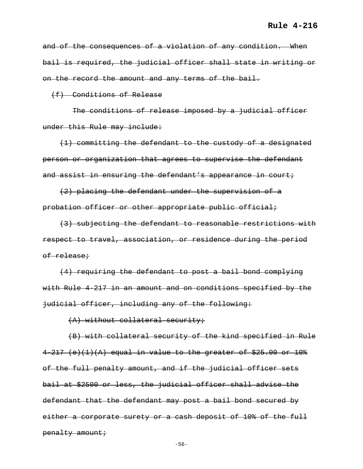and of the consequences of a violation of any condition. When bail is required, the judicial officer shall state in writing or on the record the amount and any terms of the bail.

(f) Conditions of Release

The conditions of release imposed by a judicial officer under this Rule may include:

 (1) committing the defendant to the custody of a designated person or organization that agrees to supervise the defendant and assist in ensuring the defendant's appearance in court;

 (2) placing the defendant under the supervision of a probation officer or other appropriate public official;

 (3) subjecting the defendant to reasonable restrictions with respect to travel, association, or residence during the period of release;

 (4) requiring the defendant to post a bail bond complying with Rule 4-217 in an amount and on conditions specified by the judicial officer, including any of the following:

(A) without collateral security;

 (B) with collateral security of the kind specified in Rule  $4-217$  (e)(1)(A) equal in value to the greater of \$25.00 or 10% of the full penalty amount, and if the judicial officer sets bail at \$2500 or less, the judicial officer shall advise the defendant that the defendant may post a bail bond secured by either a corporate surety or a cash deposit of 10% of the full penalty amount;

-56-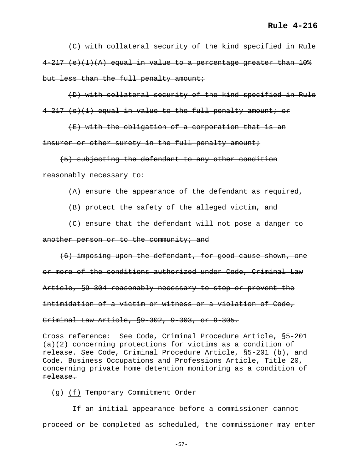(C) with collateral security of the kind specified in Rule  $4-217$  (e)(1)(A) equal in value to a percentage greater than  $10\%$ but less than the full penalty amount;

 (D) with collateral security of the kind specified in Rule 4-217 (e)(1) equal in value to the full penalty amount; or

 (E) with the obligation of a corporation that is an insurer or other surety in the full penalty amount;

 (5) subjecting the defendant to any other condition reasonably necessary to:

(A) ensure the appearance of the defendant as required,

(B) protect the safety of the alleged victim, and

 (C) ensure that the defendant will not pose a danger to another person or to the community; and

 (6) imposing upon the defendant, for good cause shown, one or more of the conditions authorized under Code, Criminal Law Article, §9-304 reasonably necessary to stop or prevent the intimidation of a victim or witness or a violation of Code, Criminal Law Article, §9-302, 9-303, or 9-305.

Cross reference: See Code, Criminal Procedure Article, §5-201 (a)(2) concerning protections for victims as a condition of release. See Code, Criminal Procedure Article, §5-201 (b), and Code, Business Occupations and Professions Article, Title 20, concerning private home detention monitoring as a condition of release.

 $(g)$  (f) Temporary Commitment Order

 If an initial appearance before a commissioner cannot proceed or be completed as scheduled, the commissioner may enter

-57-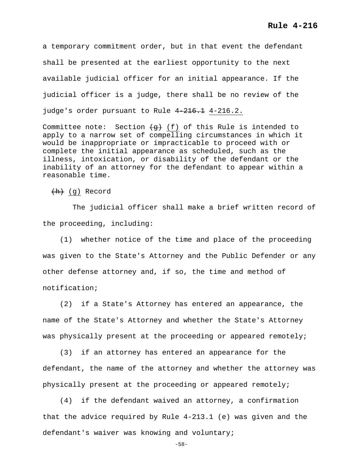a temporary commitment order, but in that event the defendant shall be presented at the earliest opportunity to the next available judicial officer for an initial appearance. If the judicial officer is a judge, there shall be no review of the judge's order pursuant to Rule 4-216.1 4-216.2.

Committee note: Section  $\left\{g\right\}$  (f) of this Rule is intended to apply to a narrow set of compelling circumstances in which it would be inappropriate or impracticable to proceed with or complete the initial appearance as scheduled, such as the illness, intoxication, or disability of the defendant or the inability of an attorney for the defendant to appear within a reasonable time.

 $(h)$  (g) Record

 The judicial officer shall make a brief written record of the proceeding, including:

 (1) whether notice of the time and place of the proceeding was given to the State's Attorney and the Public Defender or any other defense attorney and, if so, the time and method of notification;

 (2) if a State's Attorney has entered an appearance, the name of the State's Attorney and whether the State's Attorney was physically present at the proceeding or appeared remotely;

 (3) if an attorney has entered an appearance for the defendant, the name of the attorney and whether the attorney was physically present at the proceeding or appeared remotely;

 (4) if the defendant waived an attorney, a confirmation that the advice required by Rule 4-213.1 (e) was given and the defendant's waiver was knowing and voluntary;

-58-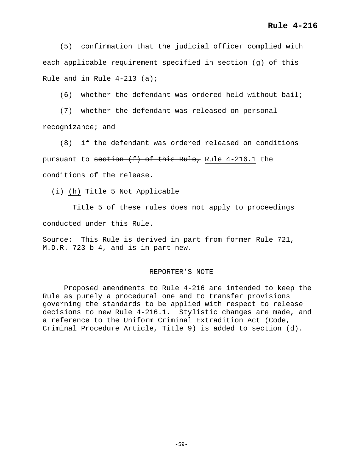(5) confirmation that the judicial officer complied with each applicable requirement specified in section (g) of this Rule and in Rule  $4-213$  (a);

(6) whether the defendant was ordered held without bail;

 (7) whether the defendant was released on personal recognizance; and

 (8) if the defendant was ordered released on conditions pursuant to section  $(f)$  of this Rule, Rule 4-216.1 the conditions of the release.

 $\overline{i}$  (h) Title 5 Not Applicable

 Title 5 of these rules does not apply to proceedings conducted under this Rule.

Source: This Rule is derived in part from former Rule 721, M.D.R. 723 b 4, and is in part new.

#### REPORTER'S NOTE

Proposed amendments to Rule 4-216 are intended to keep the Rule as purely a procedural one and to transfer provisions governing the standards to be applied with respect to release decisions to new Rule 4-216.1. Stylistic changes are made, and a reference to the Uniform Criminal Extradition Act (Code, Criminal Procedure Article, Title 9) is added to section (d).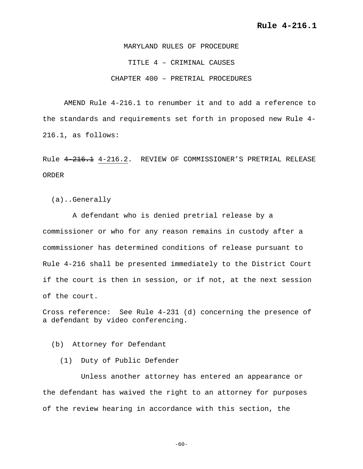MARYLAND RULES OF PROCEDURE TITLE 4 – CRIMINAL CAUSES CHAPTER 400 – PRETRIAL PROCEDURES

AMEND Rule 4-216.1 to renumber it and to add a reference to the standards and requirements set forth in proposed new Rule 4- 216.1, as follows:

Rule 4-216.1 4-216.2. REVIEW OF COMMISSIONER'S PRETRIAL RELEASE ORDER

(a)..Generally

 A defendant who is denied pretrial release by a commissioner or who for any reason remains in custody after a commissioner has determined conditions of release pursuant to Rule 4-216 shall be presented immediately to the District Court if the court is then in session, or if not, at the next session of the court.

Cross reference: See Rule 4-231 (d) concerning the presence of a defendant by video conferencing.

(b) Attorney for Defendant

(1) Duty of Public Defender

 Unless another attorney has entered an appearance or the defendant has waived the right to an attorney for purposes of the review hearing in accordance with this section, the

 $-60-$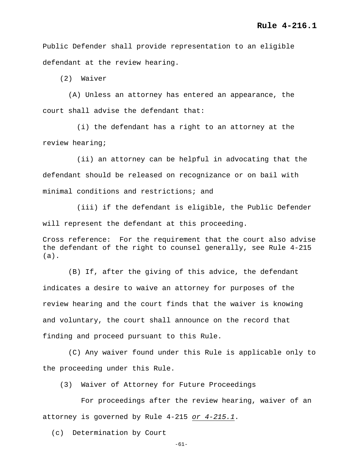Public Defender shall provide representation to an eligible defendant at the review hearing.

(2) Waiver

 (A) Unless an attorney has entered an appearance, the court shall advise the defendant that:

 (i) the defendant has a right to an attorney at the review hearing;

 (ii) an attorney can be helpful in advocating that the defendant should be released on recognizance or on bail with minimal conditions and restrictions; and

 (iii) if the defendant is eligible, the Public Defender will represent the defendant at this proceeding.

Cross reference: For the requirement that the court also advise the defendant of the right to counsel generally, see Rule 4-215 (a).

 (B) If, after the giving of this advice, the defendant indicates a desire to waive an attorney for purposes of the review hearing and the court finds that the waiver is knowing and voluntary, the court shall announce on the record that finding and proceed pursuant to this Rule.

 (C) Any waiver found under this Rule is applicable only to the proceeding under this Rule.

(3) Waiver of Attorney for Future Proceedings

 For proceedings after the review hearing, waiver of an attorney is governed by Rule 4-215 *or 4-215.1*.

(c) Determination by Court

-61-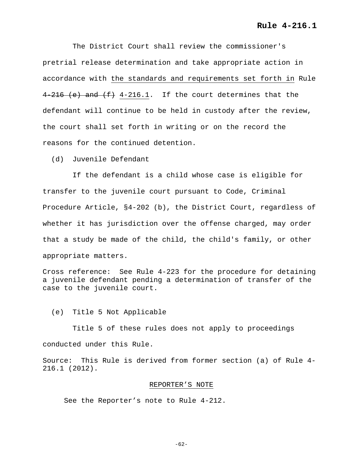The District Court shall review the commissioner's pretrial release determination and take appropriate action in accordance with the standards and requirements set forth in Rule  $4-216$  (e) and  $(f)$  4-216.1. If the court determines that the defendant will continue to be held in custody after the review, the court shall set forth in writing or on the record the reasons for the continued detention.

(d) Juvenile Defendant

 If the defendant is a child whose case is eligible for transfer to the juvenile court pursuant to Code, Criminal Procedure Article, §4-202 (b), the District Court, regardless of whether it has jurisdiction over the offense charged, may order that a study be made of the child, the child's family, or other appropriate matters.

Cross reference: See Rule 4-223 for the procedure for detaining a juvenile defendant pending a determination of transfer of the case to the juvenile court.

(e) Title 5 Not Applicable

 Title 5 of these rules does not apply to proceedings conducted under this Rule.

Source: This Rule is derived from former section (a) of Rule 4- 216.1 (2012).

## REPORTER'S NOTE

See the Reporter's note to Rule 4-212.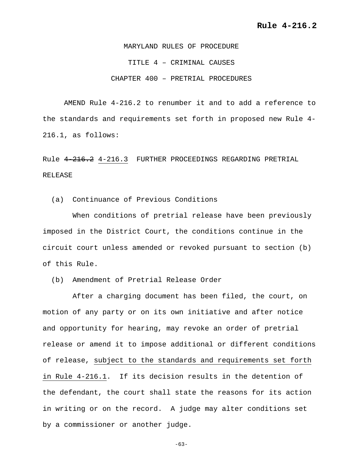MARYLAND RULES OF PROCEDURE TITLE 4 – CRIMINAL CAUSES CHAPTER 400 – PRETRIAL PROCEDURES

AMEND Rule 4-216.2 to renumber it and to add a reference to the standards and requirements set forth in proposed new Rule 4- 216.1, as follows:

Rule 4-216.2 4-216.3 FURTHER PROCEEDINGS REGARDING PRETRIAL RELEASE

(a) Continuance of Previous Conditions

 When conditions of pretrial release have been previously imposed in the District Court, the conditions continue in the circuit court unless amended or revoked pursuant to section (b) of this Rule.

(b) Amendment of Pretrial Release Order

 After a charging document has been filed, the court, on motion of any party or on its own initiative and after notice and opportunity for hearing, may revoke an order of pretrial release or amend it to impose additional or different conditions of release, subject to the standards and requirements set forth in Rule 4-216.1. If its decision results in the detention of the defendant, the court shall state the reasons for its action in writing or on the record. A judge may alter conditions set by a commissioner or another judge.

-63-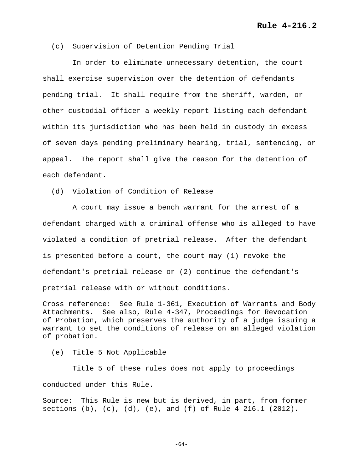## (c) Supervision of Detention Pending Trial

 In order to eliminate unnecessary detention, the court shall exercise supervision over the detention of defendants pending trial. It shall require from the sheriff, warden, or other custodial officer a weekly report listing each defendant within its jurisdiction who has been held in custody in excess of seven days pending preliminary hearing, trial, sentencing, or appeal. The report shall give the reason for the detention of each defendant.

(d) Violation of Condition of Release

 A court may issue a bench warrant for the arrest of a defendant charged with a criminal offense who is alleged to have violated a condition of pretrial release. After the defendant is presented before a court, the court may (1) revoke the defendant's pretrial release or (2) continue the defendant's pretrial release with or without conditions.

Cross reference: See Rule 1-361, Execution of Warrants and Body Attachments. See also, Rule 4-347, Proceedings for Revocation of Probation, which preserves the authority of a judge issuing a warrant to set the conditions of release on an alleged violation of probation.

(e) Title 5 Not Applicable

 Title 5 of these rules does not apply to proceedings conducted under this Rule.

Source: This Rule is new but is derived, in part, from former sections (b), (c), (d), (e), and (f) of Rule  $4-216.1$  (2012).

-64-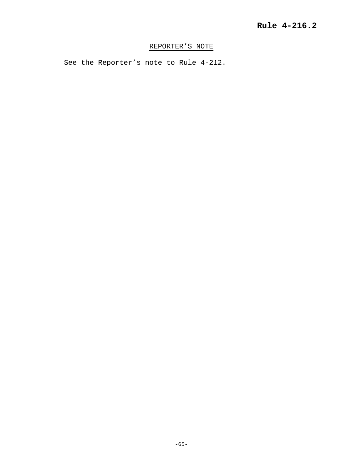# REPORTER'S NOTE

See the Reporter's note to Rule 4-212.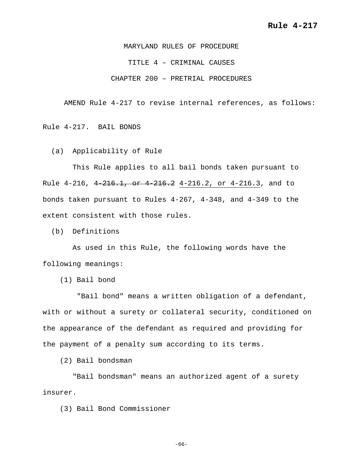MARYLAND RULES OF PROCEDURE TITLE 4 – CRIMINAL CAUSES CHAPTER 200 – PRETRIAL PROCEDURES

AMEND Rule 4-217 to revise internal references, as follows:

Rule 4-217. BAIL BONDS

(a) Applicability of Rule

 This Rule applies to all bail bonds taken pursuant to Rule 4-216, 4-216.1, or 4-216.2 4-216.2, or 4-216.3, and to bonds taken pursuant to Rules 4-267, 4-348, and 4-349 to the extent consistent with those rules.

(b) Definitions

 As used in this Rule, the following words have the following meanings:

(1) Bail bond

 "Bail bond" means a written obligation of a defendant, with or without a surety or collateral security, conditioned on the appearance of the defendant as required and providing for the payment of a penalty sum according to its terms.

(2) Bail bondsman

 "Bail bondsman" means an authorized agent of a surety insurer.

(3) Bail Bond Commissioner

-66-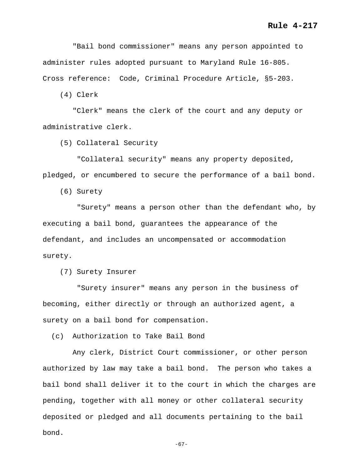"Bail bond commissioner" means any person appointed to administer rules adopted pursuant to Maryland Rule 16-805. Cross reference: Code, Criminal Procedure Article, §5-203.

(4) Clerk

 "Clerk" means the clerk of the court and any deputy or administrative clerk.

(5) Collateral Security

 "Collateral security" means any property deposited, pledged, or encumbered to secure the performance of a bail bond.

(6) Surety

 "Surety" means a person other than the defendant who, by executing a bail bond, guarantees the appearance of the defendant, and includes an uncompensated or accommodation surety.

(7) Surety Insurer

 "Surety insurer" means any person in the business of becoming, either directly or through an authorized agent, a surety on a bail bond for compensation.

(c) Authorization to Take Bail Bond

 Any clerk, District Court commissioner, or other person authorized by law may take a bail bond. The person who takes a bail bond shall deliver it to the court in which the charges are pending, together with all money or other collateral security deposited or pledged and all documents pertaining to the bail bond.

-67-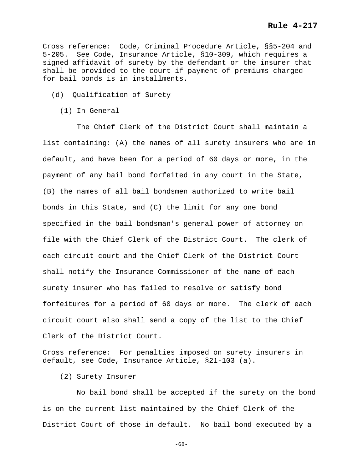Cross reference: Code, Criminal Procedure Article, §§5-204 and 5-205. See Code, Insurance Article, §10-309, which requires a signed affidavit of surety by the defendant or the insurer that shall be provided to the court if payment of premiums charged for bail bonds is in installments.

- (d) Qualification of Surety
	- (1) In General

 The Chief Clerk of the District Court shall maintain a list containing: (A) the names of all surety insurers who are in default, and have been for a period of 60 days or more, in the payment of any bail bond forfeited in any court in the State, (B) the names of all bail bondsmen authorized to write bail bonds in this State, and (C) the limit for any one bond specified in the bail bondsman's general power of attorney on file with the Chief Clerk of the District Court. The clerk of each circuit court and the Chief Clerk of the District Court shall notify the Insurance Commissioner of the name of each surety insurer who has failed to resolve or satisfy bond forfeitures for a period of 60 days or more. The clerk of each circuit court also shall send a copy of the list to the Chief Clerk of the District Court.

Cross reference: For penalties imposed on surety insurers in default, see Code, Insurance Article, §21-103 (a).

(2) Surety Insurer

 No bail bond shall be accepted if the surety on the bond is on the current list maintained by the Chief Clerk of the District Court of those in default. No bail bond executed by a

-68-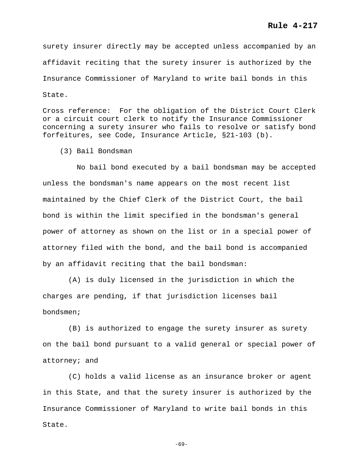# **Rule 4-217**

surety insurer directly may be accepted unless accompanied by an affidavit reciting that the surety insurer is authorized by the Insurance Commissioner of Maryland to write bail bonds in this State.

Cross reference: For the obligation of the District Court Clerk or a circuit court clerk to notify the Insurance Commissioner concerning a surety insurer who fails to resolve or satisfy bond forfeitures, see Code, Insurance Article, §21-103 (b).

(3) Bail Bondsman

 No bail bond executed by a bail bondsman may be accepted unless the bondsman's name appears on the most recent list maintained by the Chief Clerk of the District Court, the bail bond is within the limit specified in the bondsman's general power of attorney as shown on the list or in a special power of attorney filed with the bond, and the bail bond is accompanied by an affidavit reciting that the bail bondsman:

 (A) is duly licensed in the jurisdiction in which the charges are pending, if that jurisdiction licenses bail bondsmen;

 (B) is authorized to engage the surety insurer as surety on the bail bond pursuant to a valid general or special power of attorney; and

 (C) holds a valid license as an insurance broker or agent in this State, and that the surety insurer is authorized by the Insurance Commissioner of Maryland to write bail bonds in this State.

-69-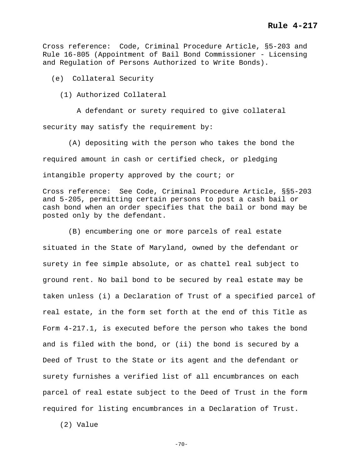Cross reference: Code, Criminal Procedure Article, §5-203 and Rule 16-805 (Appointment of Bail Bond Commissioner - Licensing and Regulation of Persons Authorized to Write Bonds).

(e) Collateral Security

(1) Authorized Collateral

 A defendant or surety required to give collateral security may satisfy the requirement by:

 (A) depositing with the person who takes the bond the required amount in cash or certified check, or pledging intangible property approved by the court; or

Cross reference: See Code, Criminal Procedure Article, §§5-203 and 5-205, permitting certain persons to post a cash bail or cash bond when an order specifies that the bail or bond may be posted only by the defendant.

 (B) encumbering one or more parcels of real estate situated in the State of Maryland, owned by the defendant or surety in fee simple absolute, or as chattel real subject to ground rent. No bail bond to be secured by real estate may be taken unless (i) a Declaration of Trust of a specified parcel of real estate, in the form set forth at the end of this Title as Form 4-217.1, is executed before the person who takes the bond and is filed with the bond, or (ii) the bond is secured by a Deed of Trust to the State or its agent and the defendant or surety furnishes a verified list of all encumbrances on each parcel of real estate subject to the Deed of Trust in the form required for listing encumbrances in a Declaration of Trust.

(2) Value

 $-70-$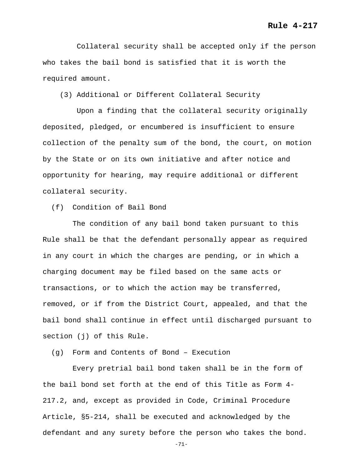Collateral security shall be accepted only if the person who takes the bail bond is satisfied that it is worth the required amount.

(3) Additional or Different Collateral Security

 Upon a finding that the collateral security originally deposited, pledged, or encumbered is insufficient to ensure collection of the penalty sum of the bond, the court, on motion by the State or on its own initiative and after notice and opportunity for hearing, may require additional or different collateral security.

(f) Condition of Bail Bond

 The condition of any bail bond taken pursuant to this Rule shall be that the defendant personally appear as required in any court in which the charges are pending, or in which a charging document may be filed based on the same acts or transactions, or to which the action may be transferred, removed, or if from the District Court, appealed, and that the bail bond shall continue in effect until discharged pursuant to section (j) of this Rule.

(g) Form and Contents of Bond – Execution

 Every pretrial bail bond taken shall be in the form of the bail bond set forth at the end of this Title as Form 4- 217.2, and, except as provided in Code, Criminal Procedure Article, §5-214, shall be executed and acknowledged by the defendant and any surety before the person who takes the bond.

-71-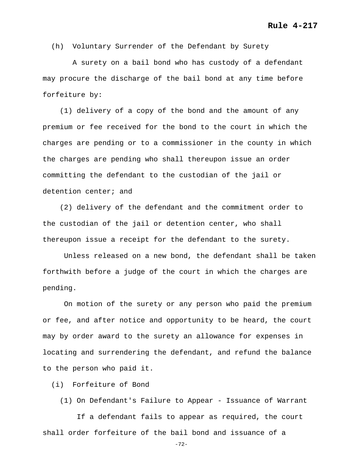(h) Voluntary Surrender of the Defendant by Surety

 A surety on a bail bond who has custody of a defendant may procure the discharge of the bail bond at any time before forfeiture by:

 (1) delivery of a copy of the bond and the amount of any premium or fee received for the bond to the court in which the charges are pending or to a commissioner in the county in which the charges are pending who shall thereupon issue an order committing the defendant to the custodian of the jail or detention center; and

 (2) delivery of the defendant and the commitment order to the custodian of the jail or detention center, who shall thereupon issue a receipt for the defendant to the surety.

Unless released on a new bond, the defendant shall be taken forthwith before a judge of the court in which the charges are pending.

 On motion of the surety or any person who paid the premium or fee, and after notice and opportunity to be heard, the court may by order award to the surety an allowance for expenses in locating and surrendering the defendant, and refund the balance to the person who paid it.

(i) Forfeiture of Bond

(1) On Defendant's Failure to Appear - Issuance of Warrant

 If a defendant fails to appear as required, the court shall order forfeiture of the bail bond and issuance of a

-72-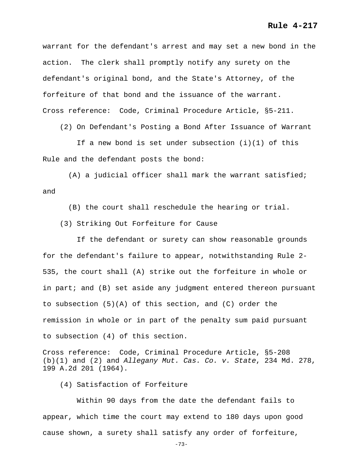### **Rule 4-217**

warrant for the defendant's arrest and may set a new bond in the action. The clerk shall promptly notify any surety on the defendant's original bond, and the State's Attorney, of the forfeiture of that bond and the issuance of the warrant. Cross reference: Code, Criminal Procedure Article, §5-211.

(2) On Defendant's Posting a Bond After Issuance of Warrant

If a new bond is set under subsection  $(i)(1)$  of this Rule and the defendant posts the bond:

 (A) a judicial officer shall mark the warrant satisfied; and

(B) the court shall reschedule the hearing or trial.

(3) Striking Out Forfeiture for Cause

 If the defendant or surety can show reasonable grounds for the defendant's failure to appear, notwithstanding Rule 2- 535, the court shall (A) strike out the forfeiture in whole or in part; and (B) set aside any judgment entered thereon pursuant to subsection  $(5)(A)$  of this section, and  $(C)$  order the remission in whole or in part of the penalty sum paid pursuant to subsection (4) of this section.

Cross reference: Code, Criminal Procedure Article, §5-208 (b)(1) and (2) and *Allegany Mut. Cas. Co. v. State*, 234 Md. 278, 199 A.2d 201 (1964).

(4) Satisfaction of Forfeiture

 Within 90 days from the date the defendant fails to appear, which time the court may extend to 180 days upon good cause shown, a surety shall satisfy any order of forfeiture,

-73-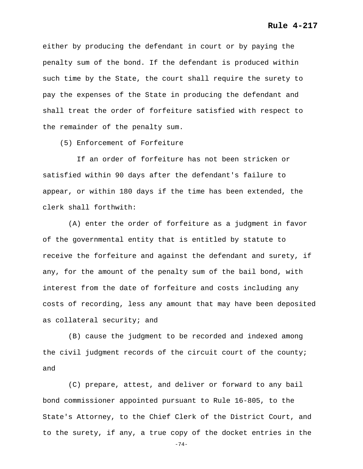either by producing the defendant in court or by paying the penalty sum of the bond. If the defendant is produced within such time by the State, the court shall require the surety to pay the expenses of the State in producing the defendant and shall treat the order of forfeiture satisfied with respect to the remainder of the penalty sum.

(5) Enforcement of Forfeiture

 If an order of forfeiture has not been stricken or satisfied within 90 days after the defendant's failure to appear, or within 180 days if the time has been extended, the clerk shall forthwith:

 (A) enter the order of forfeiture as a judgment in favor of the governmental entity that is entitled by statute to receive the forfeiture and against the defendant and surety, if any, for the amount of the penalty sum of the bail bond, with interest from the date of forfeiture and costs including any costs of recording, less any amount that may have been deposited as collateral security; and

 (B) cause the judgment to be recorded and indexed among the civil judgment records of the circuit court of the county; and

 (C) prepare, attest, and deliver or forward to any bail bond commissioner appointed pursuant to Rule 16-805, to the State's Attorney, to the Chief Clerk of the District Court, and to the surety, if any, a true copy of the docket entries in the

-74-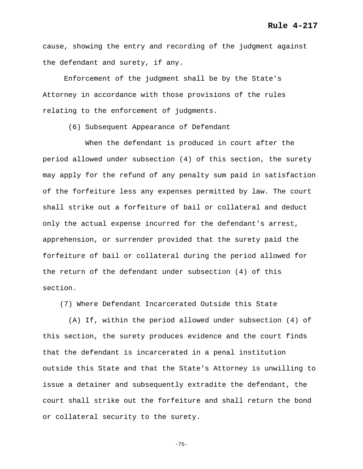cause, showing the entry and recording of the judgment against the defendant and surety, if any.

Enforcement of the judgment shall be by the State's Attorney in accordance with those provisions of the rules relating to the enforcement of judgments.

(6) Subsequent Appearance of Defendant

 When the defendant is produced in court after the period allowed under subsection (4) of this section, the surety may apply for the refund of any penalty sum paid in satisfaction of the forfeiture less any expenses permitted by law. The court shall strike out a forfeiture of bail or collateral and deduct only the actual expense incurred for the defendant's arrest, apprehension, or surrender provided that the surety paid the forfeiture of bail or collateral during the period allowed for the return of the defendant under subsection (4) of this section.

(7) Where Defendant Incarcerated Outside this State

 (A) If, within the period allowed under subsection (4) of this section, the surety produces evidence and the court finds that the defendant is incarcerated in a penal institution outside this State and that the State's Attorney is unwilling to issue a detainer and subsequently extradite the defendant, the court shall strike out the forfeiture and shall return the bond or collateral security to the surety.

```
-75-
```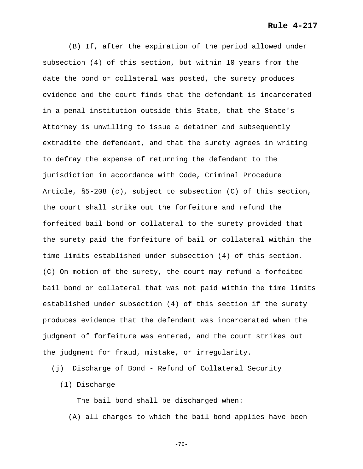(B) If, after the expiration of the period allowed under subsection (4) of this section, but within 10 years from the date the bond or collateral was posted, the surety produces evidence and the court finds that the defendant is incarcerated in a penal institution outside this State, that the State's Attorney is unwilling to issue a detainer and subsequently extradite the defendant, and that the surety agrees in writing to defray the expense of returning the defendant to the jurisdiction in accordance with Code, Criminal Procedure Article, §5-208 (c), subject to subsection (C) of this section, the court shall strike out the forfeiture and refund the forfeited bail bond or collateral to the surety provided that the surety paid the forfeiture of bail or collateral within the time limits established under subsection (4) of this section. (C) On motion of the surety, the court may refund a forfeited bail bond or collateral that was not paid within the time limits established under subsection (4) of this section if the surety produces evidence that the defendant was incarcerated when the judgment of forfeiture was entered, and the court strikes out the judgment for fraud, mistake, or irregularity.

(j) Discharge of Bond - Refund of Collateral Security

(1) Discharge

 The bail bond shall be discharged when: (A) all charges to which the bail bond applies have been

-76-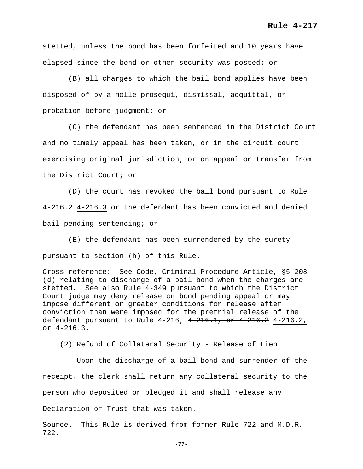stetted, unless the bond has been forfeited and 10 years have elapsed since the bond or other security was posted; or

 (B) all charges to which the bail bond applies have been disposed of by a nolle prosequi, dismissal, acquittal, or probation before judgment; or

 (C) the defendant has been sentenced in the District Court and no timely appeal has been taken, or in the circuit court exercising original jurisdiction, or on appeal or transfer from the District Court; or

 (D) the court has revoked the bail bond pursuant to Rule 4 216.2 4-216.3 or the defendant has been convicted and denied bail pending sentencing; or

 (E) the defendant has been surrendered by the surety pursuant to section (h) of this Rule.

Cross reference: See Code, Criminal Procedure Article, §5-208 (d) relating to discharge of a bail bond when the charges are stetted. See also Rule 4-349 pursuant to which the District Court judge may deny release on bond pending appeal or may impose different or greater conditions for release after conviction than were imposed for the pretrial release of the defendant pursuant to Rule  $4-216$ ,  $4-216.1$ , or  $4-216.2$   $4-216.2$ , or 4-216.3**.**

(2) Refund of Collateral Security - Release of Lien

 Upon the discharge of a bail bond and surrender of the receipt, the clerk shall return any collateral security to the person who deposited or pledged it and shall release any Declaration of Trust that was taken.

Source. This Rule is derived from former Rule 722 and M.D.R. 722.

-77-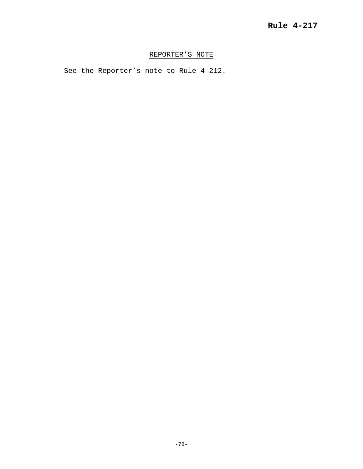## REPORTER'S NOTE

See the Reporter's note to Rule 4-212.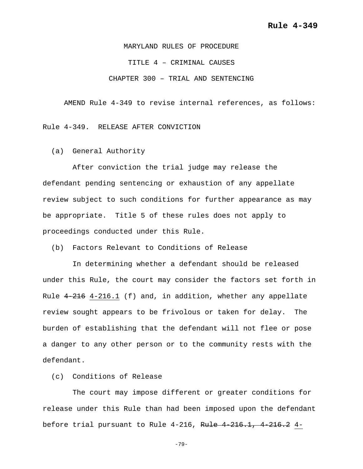MARYLAND RULES OF PROCEDURE TITLE 4 – CRIMINAL CAUSES CHAPTER 300 – TRIAL AND SENTENCING

AMEND Rule 4-349 to revise internal references, as follows:

Rule 4-349. RELEASE AFTER CONVICTION

(a) General Authority

 After conviction the trial judge may release the defendant pending sentencing or exhaustion of any appellate review subject to such conditions for further appearance as may be appropriate. Title 5 of these rules does not apply to proceedings conducted under this Rule.

(b) Factors Relevant to Conditions of Release

 In determining whether a defendant should be released under this Rule, the court may consider the factors set forth in Rule  $4-216$  4-216.1 (f) and, in addition, whether any appellate review sought appears to be frivolous or taken for delay. The burden of establishing that the defendant will not flee or pose a danger to any other person or to the community rests with the defendant.

(c) Conditions of Release

 The court may impose different or greater conditions for release under this Rule than had been imposed upon the defendant before trial pursuant to Rule 4-216, Rule 4-216.1, 4-216.2 4-

-79-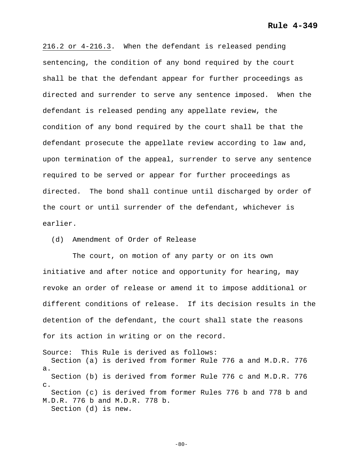216.2 or 4-216.3.When the defendant is released pending sentencing, the condition of any bond required by the court shall be that the defendant appear for further proceedings as directed and surrender to serve any sentence imposed. When the defendant is released pending any appellate review, the condition of any bond required by the court shall be that the defendant prosecute the appellate review according to law and, upon termination of the appeal, surrender to serve any sentence required to be served or appear for further proceedings as directed. The bond shall continue until discharged by order of the court or until surrender of the defendant, whichever is earlier.

(d) Amendment of Order of Release

 The court, on motion of any party or on its own initiative and after notice and opportunity for hearing, may revoke an order of release or amend it to impose additional or different conditions of release. If its decision results in the detention of the defendant, the court shall state the reasons for its action in writing or on the record.

Source: This Rule is derived as follows: Section (a) is derived from former Rule 776 a and M.D.R. 776 a. Section (b) is derived from former Rule 776 c and M.D.R. 776 c. Section (c) is derived from former Rules 776 b and 778 b and M.D.R. 776 b and M.D.R. 778 b. Section (d) is new.

 $-80-$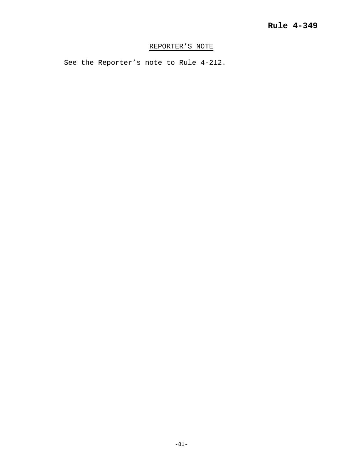# REPORTER'S NOTE

See the Reporter's note to Rule 4-212.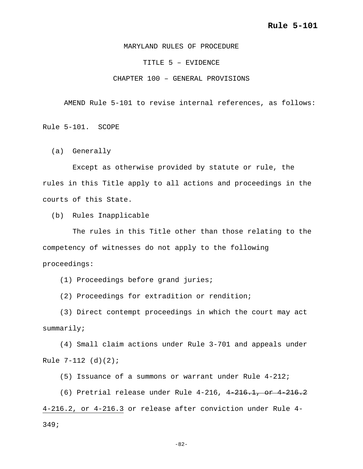MARYLAND RULES OF PROCEDURE

TITLE 5 – EVIDENCE

CHAPTER 100 – GENERAL PROVISIONS

AMEND Rule 5-101 to revise internal references, as follows:

Rule 5-101. SCOPE

(a) Generally

 Except as otherwise provided by statute or rule, the rules in this Title apply to all actions and proceedings in the courts of this State.

(b) Rules Inapplicable

 The rules in this Title other than those relating to the competency of witnesses do not apply to the following proceedings:

(1) Proceedings before grand juries;

(2) Proceedings for extradition or rendition;

 (3) Direct contempt proceedings in which the court may act summarily;

 (4) Small claim actions under Rule 3-701 and appeals under Rule 7-112 (d)(2);

(5) Issuance of a summons or warrant under Rule 4-212;

 (6) Pretrial release under Rule 4-216, 4-216.1, or 4-216.2 4-216.2, or 4-216.3 or release after conviction under Rule 4- 349;

-82-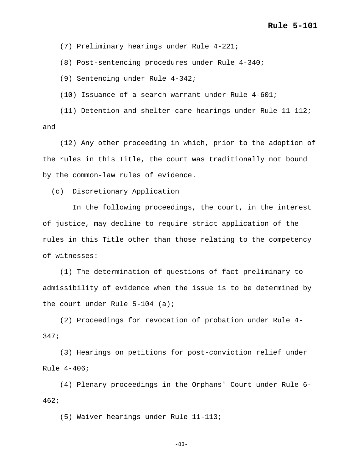(7) Preliminary hearings under Rule 4-221;

(8) Post-sentencing procedures under Rule 4-340;

(9) Sentencing under Rule 4-342;

(10) Issuance of a search warrant under Rule 4-601;

 (11) Detention and shelter care hearings under Rule 11-112; and

 (12) Any other proceeding in which, prior to the adoption of the rules in this Title, the court was traditionally not bound by the common-law rules of evidence.

(c) Discretionary Application

 In the following proceedings, the court, in the interest of justice, may decline to require strict application of the rules in this Title other than those relating to the competency of witnesses:

 (1) The determination of questions of fact preliminary to admissibility of evidence when the issue is to be determined by the court under Rule 5-104 (a);

 (2) Proceedings for revocation of probation under Rule 4- 347;

 (3) Hearings on petitions for post-conviction relief under Rule 4-406;

 (4) Plenary proceedings in the Orphans' Court under Rule 6- 462;

(5) Waiver hearings under Rule 11-113;

-83-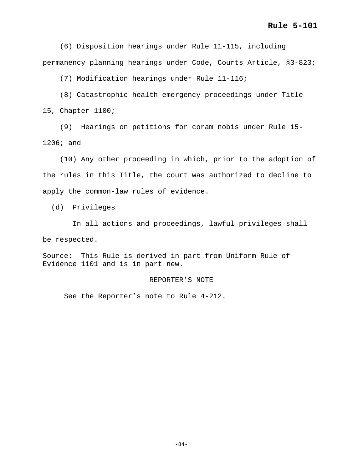(6) Disposition hearings under Rule 11-115, including permanency planning hearings under Code, Courts Article, §3-823;

(7) Modification hearings under Rule 11-116;

 (8) Catastrophic health emergency proceedings under Title 15, Chapter 1100;

 (9) Hearings on petitions for coram nobis under Rule 15- 1206; and

 (10) Any other proceeding in which, prior to the adoption of the rules in this Title, the court was authorized to decline to apply the common-law rules of evidence.

(d) Privileges

 In all actions and proceedings, lawful privileges shall be respected.

Source: This Rule is derived in part from Uniform Rule of Evidence 1101 and is in part new.

#### REPORTER'S NOTE

See the Reporter's note to Rule 4-212.

-84-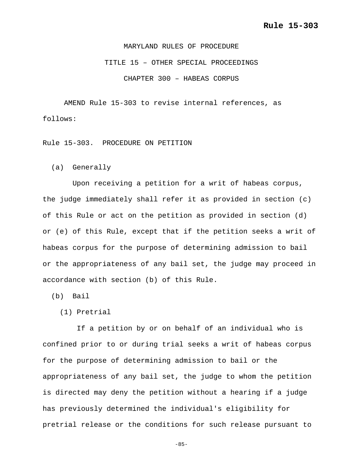MARYLAND RULES OF PROCEDURE TITLE 15 – OTHER SPECIAL PROCEEDINGS CHAPTER 300 – HABEAS CORPUS

AMEND Rule 15-303 to revise internal references, as follows:

Rule 15-303. PROCEDURE ON PETITION

(a) Generally

 Upon receiving a petition for a writ of habeas corpus, the judge immediately shall refer it as provided in section (c) of this Rule or act on the petition as provided in section (d) or (e) of this Rule, except that if the petition seeks a writ of habeas corpus for the purpose of determining admission to bail or the appropriateness of any bail set, the judge may proceed in accordance with section (b) of this Rule.

(b) Bail

(1) Pretrial

 If a petition by or on behalf of an individual who is confined prior to or during trial seeks a writ of habeas corpus for the purpose of determining admission to bail or the appropriateness of any bail set, the judge to whom the petition is directed may deny the petition without a hearing if a judge has previously determined the individual's eligibility for pretrial release or the conditions for such release pursuant to

-85-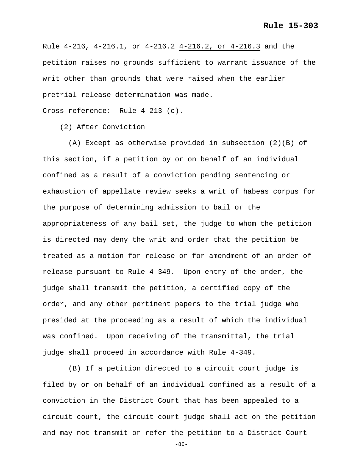Rule 4-216, 4 216.1, or 4 216.2 4-216.2, or 4-216.3 and the petition raises no grounds sufficient to warrant issuance of the writ other than grounds that were raised when the earlier pretrial release determination was made.

Cross reference: Rule 4-213 (c).

(2) After Conviction

 (A) Except as otherwise provided in subsection (2)(B) of this section, if a petition by or on behalf of an individual confined as a result of a conviction pending sentencing or exhaustion of appellate review seeks a writ of habeas corpus for the purpose of determining admission to bail or the appropriateness of any bail set, the judge to whom the petition is directed may deny the writ and order that the petition be treated as a motion for release or for amendment of an order of release pursuant to Rule 4-349. Upon entry of the order, the judge shall transmit the petition, a certified copy of the order, and any other pertinent papers to the trial judge who presided at the proceeding as a result of which the individual was confined. Upon receiving of the transmittal, the trial judge shall proceed in accordance with Rule 4-349.

 (B) If a petition directed to a circuit court judge is filed by or on behalf of an individual confined as a result of a conviction in the District Court that has been appealed to a circuit court, the circuit court judge shall act on the petition and may not transmit or refer the petition to a District Court

-86-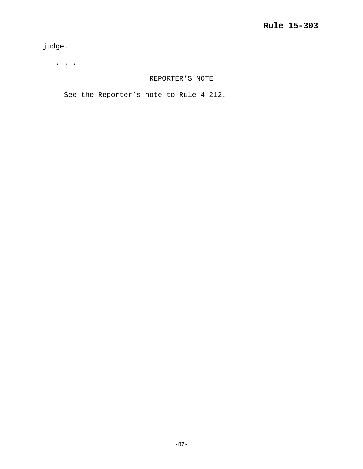judge.

. . .

# REPORTER'S NOTE

See the Reporter's note to Rule 4-212.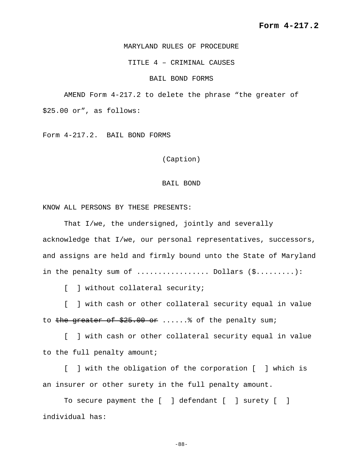### MARYLAND RULES OF PROCEDURE

TITLE 4 – CRIMINAL CAUSES

### BAIL BOND FORMS

AMEND Form 4-217.2 to delete the phrase "the greater of

\$25.00 or", as follows:

Form 4-217.2. BAIL BOND FORMS

(Caption)

#### BAIL BOND

KNOW ALL PERSONS BY THESE PRESENTS:

That I/we, the undersigned, jointly and severally acknowledge that I/we, our personal representatives, successors, and assigns are held and firmly bound unto the State of Maryland in the penalty sum of  $\dots\dots\dots\dots\dots$ . Dollars  $(\xi\dots\dots\dots\dots)$ :

[ ] without collateral security;

[ ] with cash or other collateral security equal in value to the greater of  $$25.00$  or ...... of the penalty sum;

[ ] with cash or other collateral security equal in value to the full penalty amount;

[ ] with the obligation of the corporation [ ] which is an insurer or other surety in the full penalty amount.

To secure payment the [ ] defendant [ ] surety [ ] individual has:

-88-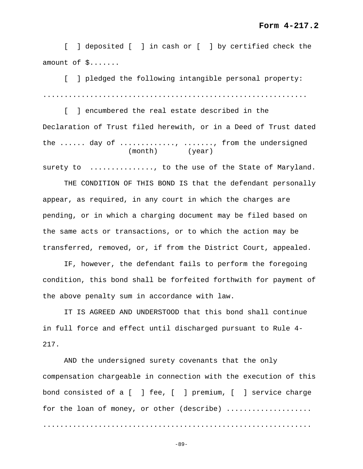## **Form 4-217.2**

[ ] deposited [ ] in cash or [ ] by certified check the amount of \$.......

[ ] pledged the following intangible personal property: ..............................................................

[ ] encumbered the real estate described in the Declaration of Trust filed herewith, or in a Deed of Trust dated the ...... day of ............, ......., from the undersigned (month) (year)

surety to ............., to the use of the State of Maryland.

THE CONDITION OF THIS BOND IS that the defendant personally appear, as required, in any court in which the charges are pending, or in which a charging document may be filed based on the same acts or transactions, or to which the action may be transferred, removed, or, if from the District Court, appealed.

IF, however, the defendant fails to perform the foregoing condition, this bond shall be forfeited forthwith for payment of the above penalty sum in accordance with law.

IT IS AGREED AND UNDERSTOOD that this bond shall continue in full force and effect until discharged pursuant to Rule 4- 217.

AND the undersigned surety covenants that the only compensation chargeable in connection with the execution of this bond consisted of a [ ] fee, [ ] premium, [ ] service charge for the loan of money, or other (describe) ................... ...............................................................

-89-